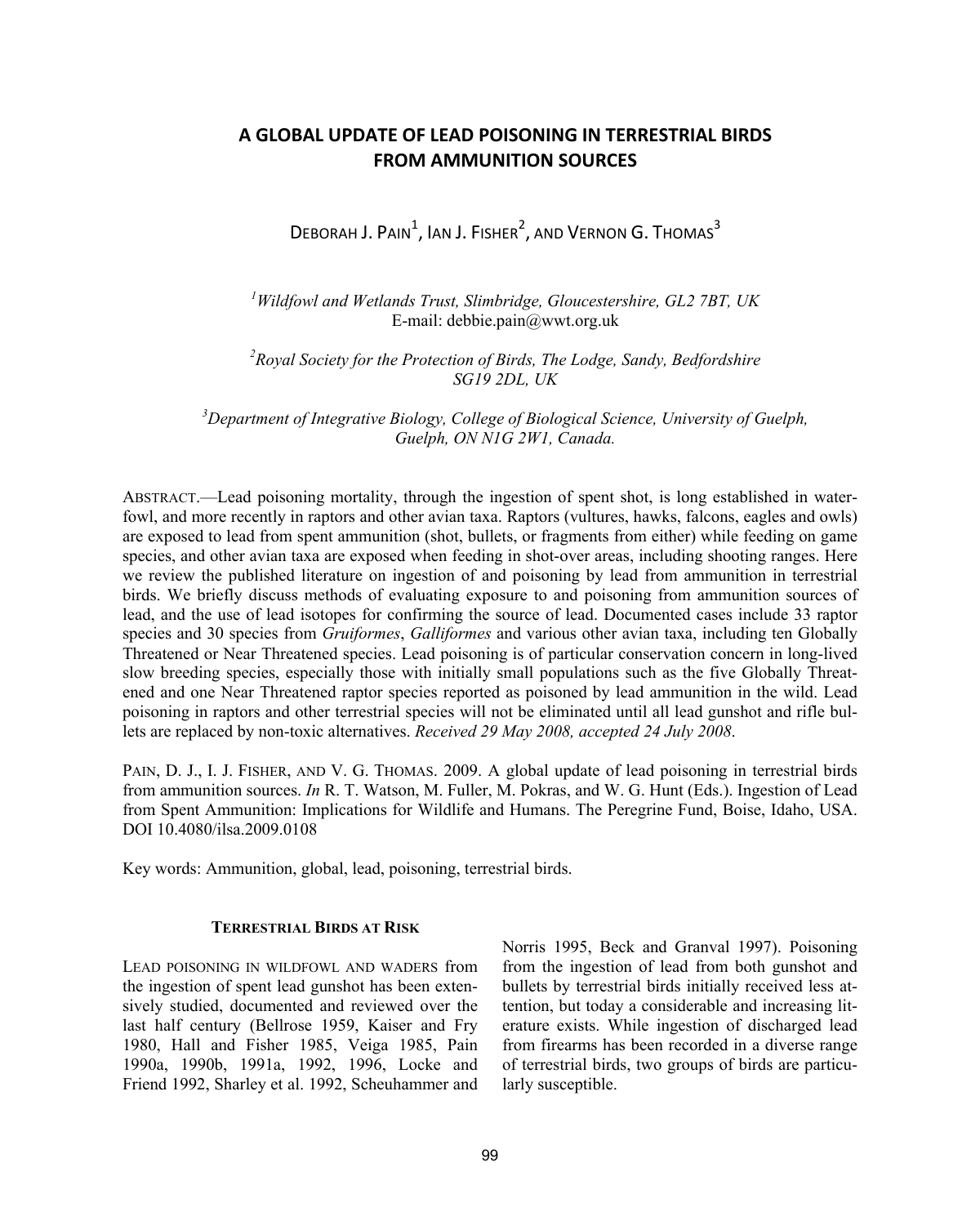# **A
GLOBAL
UPDATE
OF
LEAD
POISONING
IN
TERRESTRIAL
BIRDS FROM
AMMUNITION
SOURCES**

DEBORAH J. PAIN<sup>1</sup>, IAN J. FISHER<sup>2</sup>, AND VERNON G. THOMAS<sup>3</sup>

*1 Wildfowl and Wetlands Trust, Slimbridge, Gloucestershire, GL2 7BT, UK* E-mail: debbie.[pain@wwt.org.uk](mailto:pain@wwt.org.uk)

*2 Royal Society for the Protection of Birds, The Lodge, Sandy, Bedfordshire SG19 2DL, UK*

*3 Department of Integrative Biology, College of Biological Science, University of Guelph, Guelph, ON N1G 2W1, Canada.*

ABSTRACT.—Lead poisoning mortality, through the ingestion of spent shot, is long established in waterfowl, and more recently in raptors and other avian taxa. Raptors (vultures, hawks, falcons, eagles and owls) are exposed to lead from spent ammunition (shot, bullets, or fragments from either) while feeding on game species, and other avian taxa are exposed when feeding in shot-over areas, including shooting ranges. Here we review the published literature on ingestion of and poisoning by lead from ammunition in terrestrial birds. We briefly discuss methods of evaluating exposure to and poisoning from ammunition sources of lead, and the use of lead isotopes for confirming the source of lead. Documented cases include 33 raptor species and 30 species from *Gruiformes*, *Galliformes* and various other avian taxa, including ten Globally Threatened or Near Threatened species. Lead poisoning is of particular conservation concern in long-lived slow breeding species, especially those with initially small populations such as the five Globally Threatened and one Near Threatened raptor species reported as poisoned by lead ammunition in the wild. Lead poisoning in raptors and other terrestrial species will not be eliminated until all lead gunshot and rifle bullets are replaced by non-toxic alternatives. *Received 29 May 2008, accepted 24 July 2008*.

PAIN, D. J., I. J. FISHER, AND V. G. THOMAS. 2009. A global update of lead poisoning in terrestrial birds from ammunition sources. *In* R. T. Watson, M. Fuller, M. Pokras, and W. G. Hunt (Eds.). Ingestion of Lead from Spent Ammunition: Implications for Wildlife and Humans. The Peregrine Fund, Boise, Idaho, USA. DOI 10.4080/ilsa.2009.0108

Key words: Ammunition, global, lead, poisoning, terrestrial birds.

### **TERRESTRIAL BIRDS AT RISK**

LEAD POISONING IN WILDFOWL AND WADERS from the ingestion of spent lead gunshot has been extensively studied, documented and reviewed over the last half century (Bellrose 1959, Kaiser and Fry 1980, Hall and Fisher 1985, Veiga 1985, Pain 1990a, 1990b, 1991a, 1992, 1996, Locke and Friend 1992, Sharley et al. 1992, Scheuhammer and Norris 1995, Beck and Granval 1997). Poisoning from the ingestion of lead from both gunshot and bullets by terrestrial birds initially received less attention, but today a considerable and increasing literature exists. While ingestion of discharged lead from firearms has been recorded in a diverse range of terrestrial birds, two groups of birds are particularly susceptible.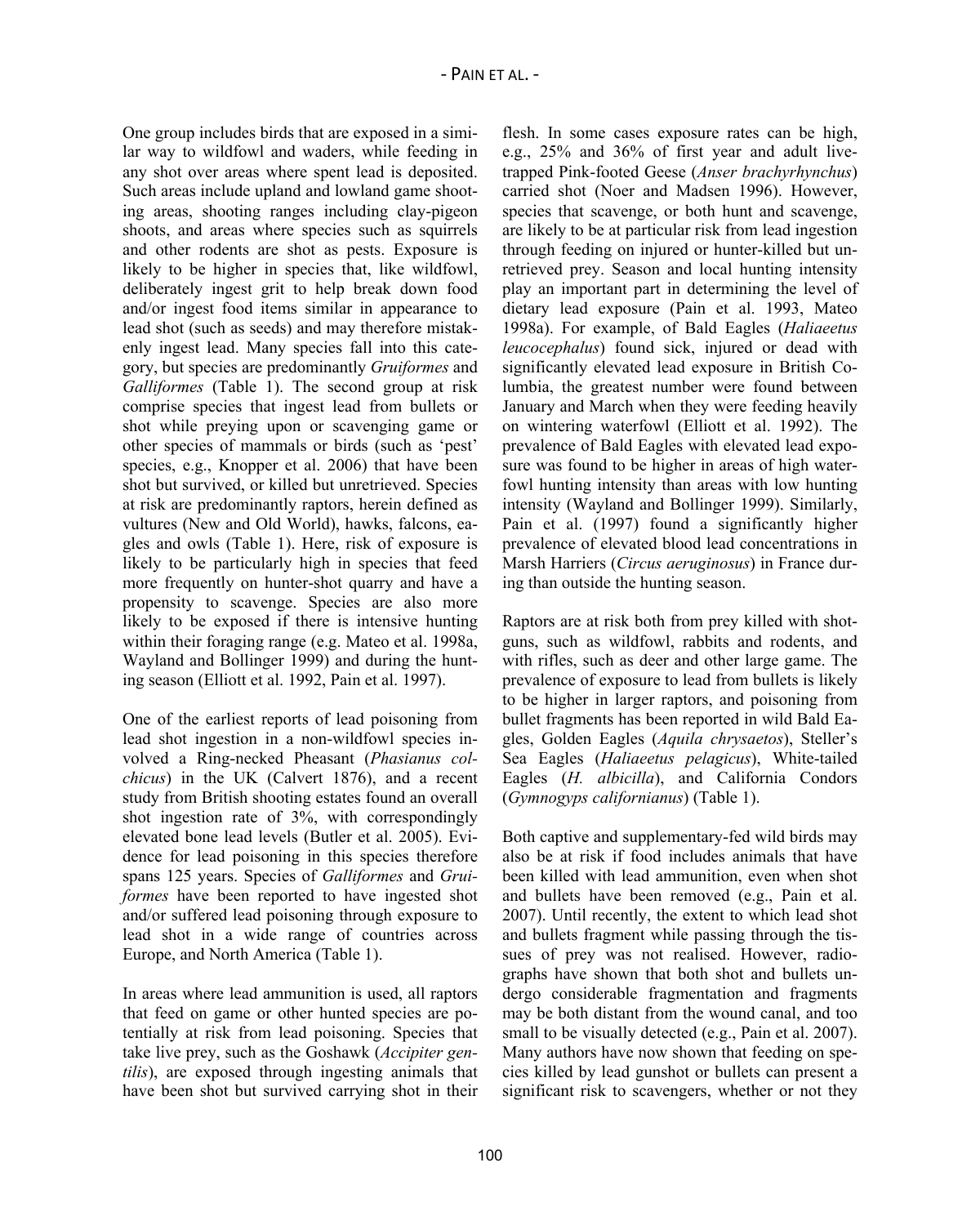One group includes birds that are exposed in a similar way to wildfowl and waders, while feeding in any shot over areas where spent lead is deposited. Such areas include upland and lowland game shooting areas, shooting ranges including clay-pigeon shoots, and areas where species such as squirrels and other rodents are shot as pests. Exposure is likely to be higher in species that, like wildfowl, deliberately ingest grit to help break down food and/or ingest food items similar in appearance to lead shot (such as seeds) and may therefore mistakenly ingest lead. Many species fall into this category, but species are predominantly *Gruiformes* and *Galliformes* (Table 1). The second group at risk comprise species that ingest lead from bullets or shot while preying upon or scavenging game or other species of mammals or birds (such as 'pest' species, e.g., Knopper et al. 2006) that have been shot but survived, or killed but unretrieved. Species at risk are predominantly raptors, herein defined as vultures (New and Old World), hawks, falcons, eagles and owls (Table 1). Here, risk of exposure is likely to be particularly high in species that feed more frequently on hunter-shot quarry and have a propensity to scavenge. Species are also more likely to be exposed if there is intensive hunting within their foraging range (e.g. Mateo et al. 1998a, Wayland and Bollinger 1999) and during the hunting season (Elliott et al. 1992, Pain et al. 1997).

One of the earliest reports of lead poisoning from lead shot ingestion in a non-wildfowl species involved a Ring-necked Pheasant (*Phasianus colchicus*) in the UK (Calvert 1876), and a recent study from British shooting estates found an overall shot ingestion rate of 3%, with correspondingly elevated bone lead levels (Butler et al. 2005). Evidence for lead poisoning in this species therefore spans 125 years. Species of *Galliformes* and *Gruiformes* have been reported to have ingested shot and/or suffered lead poisoning through exposure to lead shot in a wide range of countries across Europe, and North America (Table 1).

In areas where lead ammunition is used, all raptors that feed on game or other hunted species are potentially at risk from lead poisoning. Species that take live prey, such as the Goshawk (*Accipiter gentilis*), are exposed through ingesting animals that have been shot but survived carrying shot in their

flesh. In some cases exposure rates can be high, e.g., 25% and 36% of first year and adult livetrapped Pink-footed Geese (*Anser brachyrhynchus*) carried shot (Noer and Madsen 1996). However, species that scavenge, or both hunt and scavenge, are likely to be at particular risk from lead ingestion through feeding on injured or hunter-killed but unretrieved prey. Season and local hunting intensity play an important part in determining the level of dietary lead exposure (Pain et al. 1993, Mateo 1998a). For example, of Bald Eagles (*Haliaeetus leucocephalus*) found sick, injured or dead with significantly elevated lead exposure in British Columbia, the greatest number were found between January and March when they were feeding heavily on wintering waterfowl (Elliott et al. 1992). The prevalence of Bald Eagles with elevated lead exposure was found to be higher in areas of high waterfowl hunting intensity than areas with low hunting intensity (Wayland and Bollinger 1999). Similarly, Pain et al. (1997) found a significantly higher prevalence of elevated blood lead concentrations in Marsh Harriers (*Circus aeruginosus*) in France during than outside the hunting season.

Raptors are at risk both from prey killed with shotguns, such as wildfowl, rabbits and rodents, and with rifles, such as deer and other large game. The prevalence of exposure to lead from bullets is likely to be higher in larger raptors, and poisoning from bullet fragments has been reported in wild Bald Eagles, Golden Eagles (*Aquila chrysaetos*), Steller's Sea Eagles (*Haliaeetus pelagicus*), White-tailed Eagles (*H. albicilla*), and California Condors (*Gymnogyps californianus*) (Table 1).

Both captive and supplementary-fed wild birds may also be at risk if food includes animals that have been killed with lead ammunition, even when shot and bullets have been removed (e.g., Pain et al. 2007). Until recently, the extent to which lead shot and bullets fragment while passing through the tissues of prey was not realised. However, radiographs have shown that both shot and bullets undergo considerable fragmentation and fragments may be both distant from the wound canal, and too small to be visually detected (e.g., Pain et al. 2007). Many authors have now shown that feeding on species killed by lead gunshot or bullets can present a significant risk to scavengers, whether or not they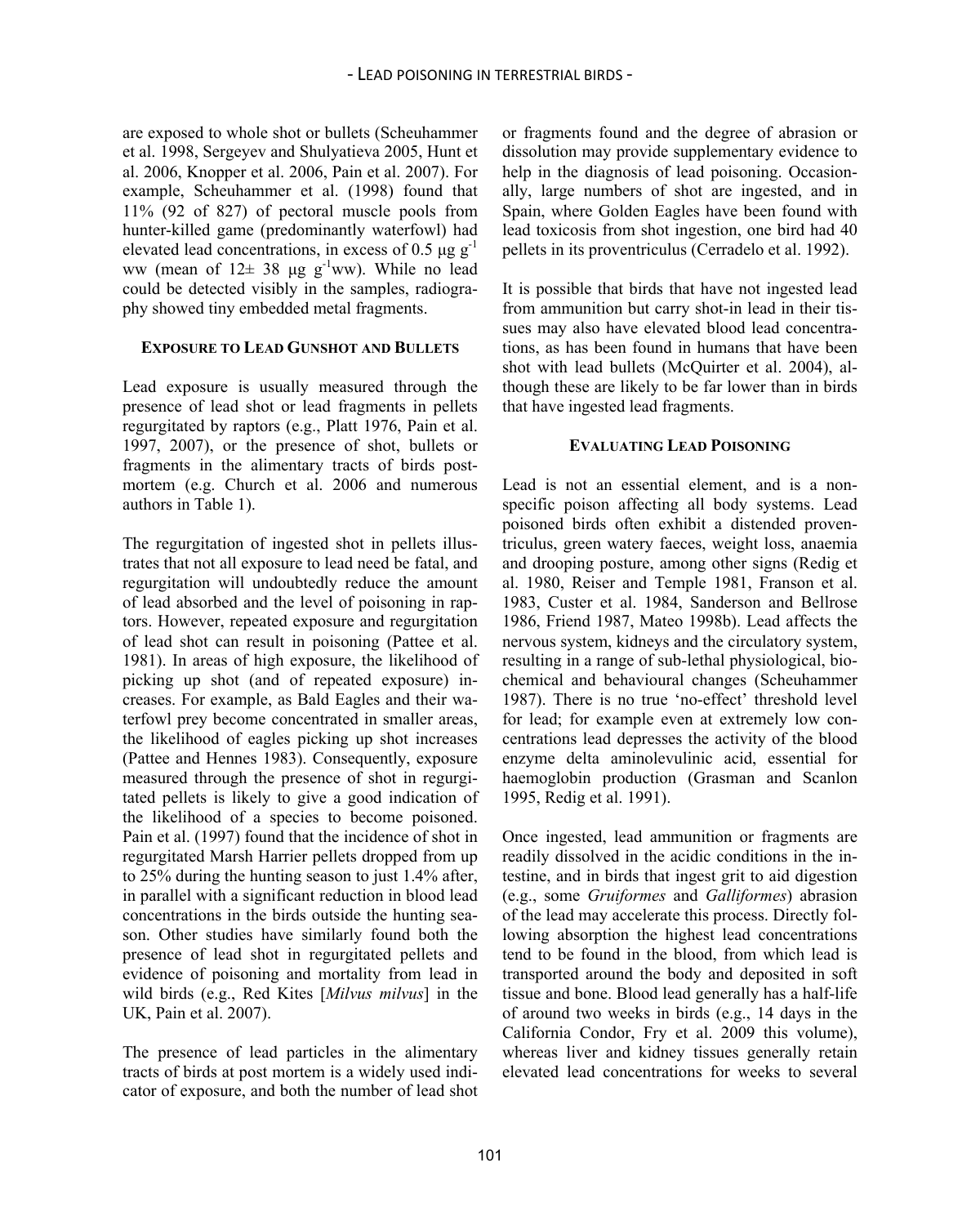are exposed to whole shot or bullets (Scheuhammer et al. 1998, Sergeyev and Shulyatieva 2005, Hunt et al. 2006, Knopper et al. 2006, Pain et al. 2007). For example, Scheuhammer et al. (1998) found that 11% (92 of 827) of pectoral muscle pools from hunter-killed game (predominantly waterfowl) had elevated lead concentrations, in excess of 0.5  $\mu$ g g<sup>-1</sup> ww (mean of  $12 \pm 38$  µg g<sup>-1</sup>ww). While no lead could be detected visibly in the samples, radiography showed tiny embedded metal fragments.

## **EXPOSURE TO LEAD GUNSHOT AND BULLETS**

Lead exposure is usually measured through the presence of lead shot or lead fragments in pellets regurgitated by raptors (e.g., Platt 1976, Pain et al. 1997, 2007), or the presence of shot, bullets or fragments in the alimentary tracts of birds postmortem (e.g. Church et al. 2006 and numerous authors in Table 1).

The regurgitation of ingested shot in pellets illustrates that not all exposure to lead need be fatal, and regurgitation will undoubtedly reduce the amount of lead absorbed and the level of poisoning in raptors. However, repeated exposure and regurgitation of lead shot can result in poisoning (Pattee et al. 1981). In areas of high exposure, the likelihood of picking up shot (and of repeated exposure) increases. For example, as Bald Eagles and their waterfowl prey become concentrated in smaller areas, the likelihood of eagles picking up shot increases (Pattee and Hennes 1983). Consequently, exposure measured through the presence of shot in regurgitated pellets is likely to give a good indication of the likelihood of a species to become poisoned. Pain et al. (1997) found that the incidence of shot in regurgitated Marsh Harrier pellets dropped from up to 25% during the hunting season to just 1.4% after, in parallel with a significant reduction in blood lead concentrations in the birds outside the hunting season. Other studies have similarly found both the presence of lead shot in regurgitated pellets and evidence of poisoning and mortality from lead in wild birds (e.g., Red Kites [*Milvus milvus*] in the UK, Pain et al. 2007).

The presence of lead particles in the alimentary tracts of birds at post mortem is a widely used indicator of exposure, and both the number of lead shot or fragments found and the degree of abrasion or dissolution may provide supplementary evidence to help in the diagnosis of lead poisoning. Occasionally, large numbers of shot are ingested, and in Spain, where Golden Eagles have been found with lead toxicosis from shot ingestion, one bird had 40 pellets in its proventriculus (Cerradelo et al. 1992).

It is possible that birds that have not ingested lead from ammunition but carry shot-in lead in their tissues may also have elevated blood lead concentrations, as has been found in humans that have been shot with lead bullets (McQuirter et al. 2004), although these are likely to be far lower than in birds that have ingested lead fragments.

# **EVALUATING LEAD POISONING**

Lead is not an essential element, and is a nonspecific poison affecting all body systems. Lead poisoned birds often exhibit a distended proventriculus, green watery faeces, weight loss, anaemia and drooping posture, among other signs (Redig et al. 1980, Reiser and Temple 1981, Franson et al. 1983, Custer et al. 1984, Sanderson and Bellrose 1986, Friend 1987, Mateo 1998b). Lead affects the nervous system, kidneys and the circulatory system, resulting in a range of sub-lethal physiological, biochemical and behavioural changes (Scheuhammer 1987). There is no true 'no-effect' threshold level for lead; for example even at extremely low concentrations lead depresses the activity of the blood enzyme delta aminolevulinic acid, essential for haemoglobin production (Grasman and Scanlon 1995, Redig et al. 1991).

Once ingested, lead ammunition or fragments are readily dissolved in the acidic conditions in the intestine, and in birds that ingest grit to aid digestion (e.g., some *Gruiformes* and *Galliformes*) abrasion of the lead may accelerate this process. Directly following absorption the highest lead concentrations tend to be found in the blood, from which lead is transported around the body and deposited in soft tissue and bone. Blood lead generally has a half-life of around two weeks in birds (e.g., 14 days in the California Condor, Fry et al. 2009 this volume), whereas liver and kidney tissues generally retain elevated lead concentrations for weeks to several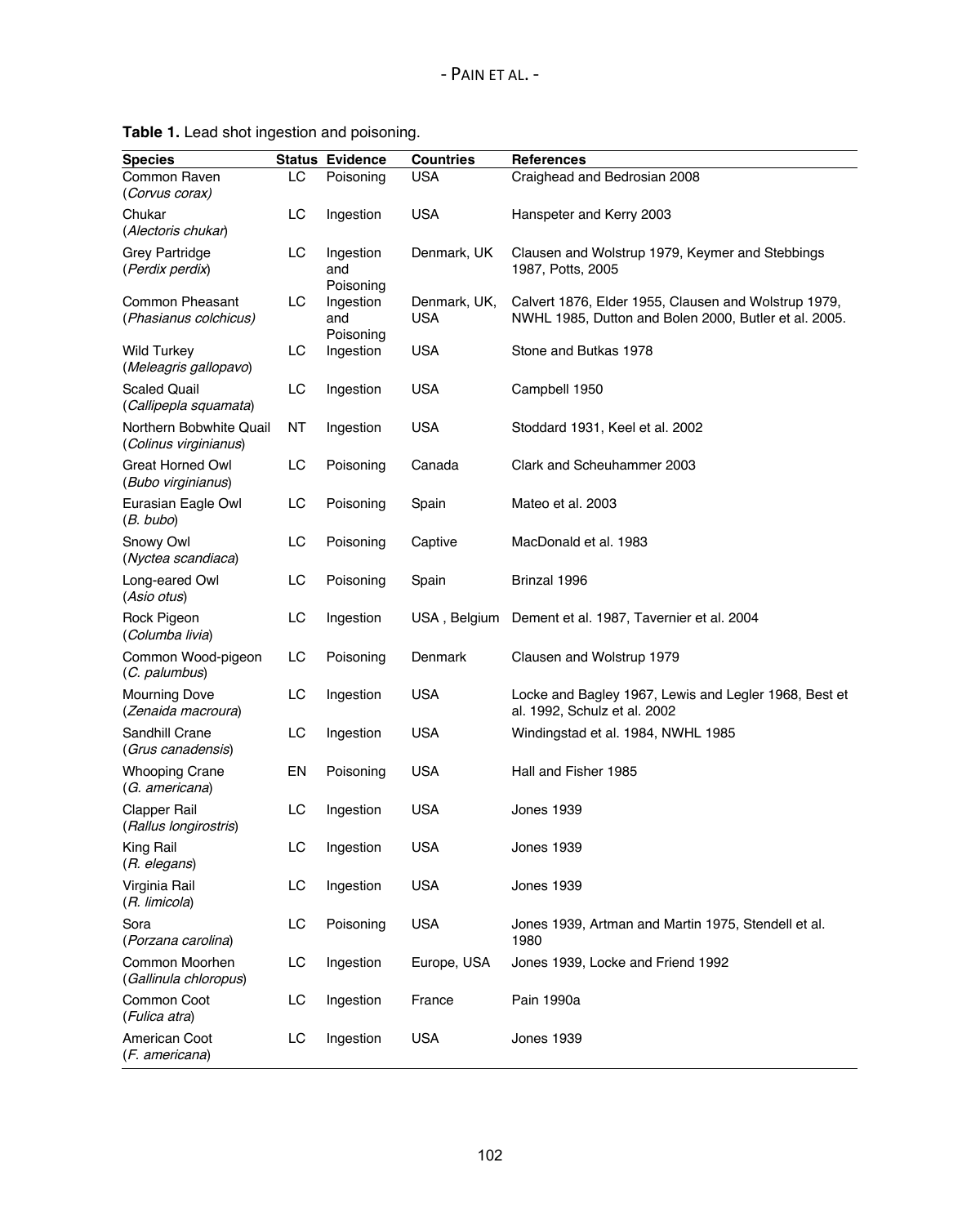| <b>Species</b>                                   |    | <b>Status Evidence</b>        | <b>Countries</b>    | References                                                                                                    |  |
|--------------------------------------------------|----|-------------------------------|---------------------|---------------------------------------------------------------------------------------------------------------|--|
| Common Raven<br>(Corvus corax)                   | LC | Poisoning                     | USA                 | Craighead and Bedrosian 2008                                                                                  |  |
| Chukar<br>(Alectoris chukar)                     | LC | Ingestion                     | <b>USA</b>          | Hanspeter and Kerry 2003                                                                                      |  |
| <b>Grey Partridge</b><br>(Perdix perdix)         | LC | Ingestion<br>and<br>Poisoning | Denmark, UK         | Clausen and Wolstrup 1979, Keymer and Stebbings<br>1987, Potts, 2005                                          |  |
| Common Pheasant<br>(Phasianus colchicus)         | LC | Ingestion<br>and<br>Poisoning | Denmark, UK,<br>USA | Calvert 1876, Elder 1955, Clausen and Wolstrup 1979,<br>NWHL 1985, Dutton and Bolen 2000, Butler et al. 2005. |  |
| <b>Wild Turkey</b><br>(Meleagris gallopavo)      | LC | Ingestion                     | <b>USA</b>          | Stone and Butkas 1978                                                                                         |  |
| <b>Scaled Quail</b><br>(Callipepla squamata)     | LC | Ingestion                     | USA                 | Campbell 1950                                                                                                 |  |
| Northern Bobwhite Quail<br>(Colinus virginianus) | ΝT | Ingestion                     | USA                 | Stoddard 1931, Keel et al. 2002                                                                               |  |
| <b>Great Horned Owl</b><br>(Bubo virginianus)    | LC | Poisoning                     | Canada              | Clark and Scheuhammer 2003                                                                                    |  |
| Eurasian Eagle Owl<br>(B.~bubo)                  | LC | Poisoning                     | Spain               | Mateo et al. 2003                                                                                             |  |
| Snowy Owl<br>(Nyctea scandiaca)                  | LC | Poisoning                     | Captive             | MacDonald et al. 1983                                                                                         |  |
| Long-eared Owl<br>(Asio otus)                    | LC | Poisoning                     | Spain               | Brinzal 1996                                                                                                  |  |
| Rock Pigeon<br>(Columba livia)                   | LC | Ingestion                     |                     | USA, Belgium Dement et al. 1987, Tavernier et al. 2004                                                        |  |
| Common Wood-pigeon<br>(C. palumbus)              | LC | Poisoning                     | Denmark             | Clausen and Wolstrup 1979                                                                                     |  |
| <b>Mourning Dove</b><br>(Zenaida macroura)       | LC | Ingestion                     | <b>USA</b>          | Locke and Bagley 1967, Lewis and Legler 1968, Best et<br>al. 1992, Schulz et al. 2002                         |  |
| Sandhill Crane<br>(Grus canadensis)              | LC | Ingestion                     | USA                 | Windingstad et al. 1984, NWHL 1985                                                                            |  |
| <b>Whooping Crane</b><br>(G. americana)          | EN | Poisoning                     | USA                 | Hall and Fisher 1985                                                                                          |  |
| Clapper Rail<br>(Rallus longirostris)            | LC | Ingestion                     | <b>USA</b>          | Jones 1939                                                                                                    |  |
| King Rail<br>(R. elegans)                        | LC | Ingestion                     | USA                 | Jones 1939                                                                                                    |  |
| Virginia Rail<br>(R. limicola)                   | LC | Ingestion                     | USA                 | <b>Jones 1939</b>                                                                                             |  |
| Sora<br>(Porzana carolina)                       | LC | Poisoning                     | <b>USA</b>          | Jones 1939, Artman and Martin 1975, Stendell et al.<br>1980                                                   |  |
| Common Moorhen<br>(Gallinula chloropus)          | LC | Ingestion                     | Europe, USA         | Jones 1939, Locke and Friend 1992                                                                             |  |
| Common Coot<br>(Fulica atra)                     | LC | Ingestion                     | France              | Pain 1990a                                                                                                    |  |
| American Coot<br>(F. americana)                  | LC | Ingestion                     | <b>USA</b>          | Jones 1939                                                                                                    |  |

**Table 1.** Lead shot ingestion and poisoning.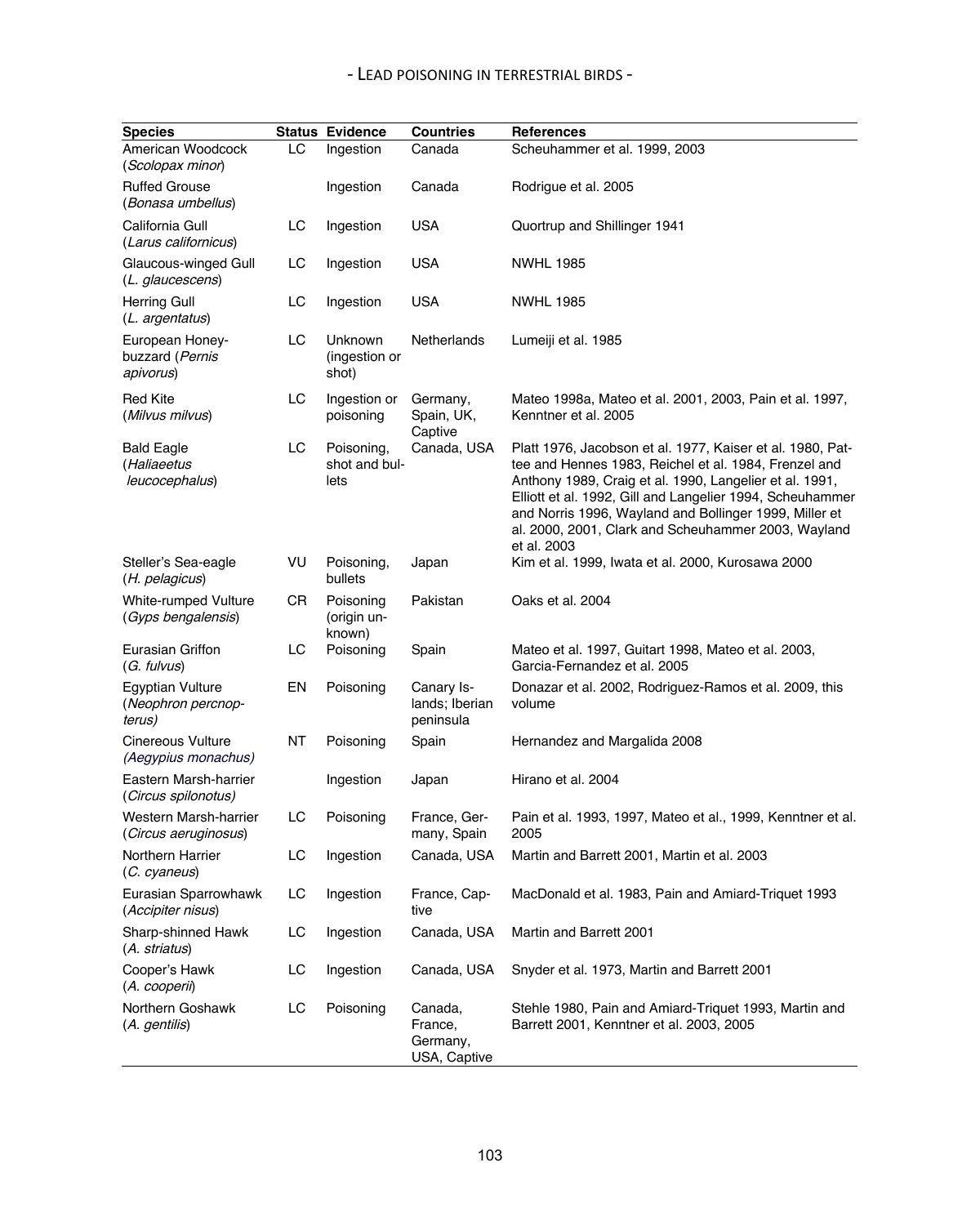| <b>Species</b>                                     |    | <b>Status Evidence</b>              | <b>Countries</b>                               | <b>References</b>                                                                                                                                                                                                                                                                                                                                                           |  |
|----------------------------------------------------|----|-------------------------------------|------------------------------------------------|-----------------------------------------------------------------------------------------------------------------------------------------------------------------------------------------------------------------------------------------------------------------------------------------------------------------------------------------------------------------------------|--|
| American Woodcock<br>(Scolopax minor)              | LC | Ingestion                           | Canada                                         | Scheuhammer et al. 1999, 2003                                                                                                                                                                                                                                                                                                                                               |  |
| <b>Ruffed Grouse</b><br>(Bonasa umbellus)          |    | Ingestion                           | Canada                                         | Rodrigue et al. 2005                                                                                                                                                                                                                                                                                                                                                        |  |
| California Gull<br>(Larus californicus)            | LC | Ingestion                           | <b>USA</b>                                     | Quortrup and Shillinger 1941                                                                                                                                                                                                                                                                                                                                                |  |
| Glaucous-winged Gull<br>(L. glaucescens)           | LС | Ingestion                           | <b>USA</b>                                     | <b>NWHL 1985</b>                                                                                                                                                                                                                                                                                                                                                            |  |
| <b>Herring Gull</b><br>(L. argentatus)             | LC | Ingestion                           | <b>USA</b>                                     | <b>NWHL 1985</b>                                                                                                                                                                                                                                                                                                                                                            |  |
| European Honey-<br>buzzard (Pernis<br>apivorus)    | LC | Unknown<br>(ingestion or<br>shot)   | Netherlands                                    | Lumeiji et al. 1985                                                                                                                                                                                                                                                                                                                                                         |  |
| <b>Red Kite</b><br>(Milvus milvus)                 | LC | Ingestion or<br>poisoning           | Germany,<br>Spain, UK,<br>Captive              | Mateo 1998a, Mateo et al. 2001, 2003, Pain et al. 1997,<br>Kenntner et al. 2005                                                                                                                                                                                                                                                                                             |  |
| <b>Bald Eagle</b><br>(Haliaeetus<br>leucocephalus) | LC | Poisoning,<br>shot and bul-<br>lets | Canada, USA                                    | Platt 1976, Jacobson et al. 1977, Kaiser et al. 1980, Pat-<br>tee and Hennes 1983, Reichel et al. 1984, Frenzel and<br>Anthony 1989, Craig et al. 1990, Langelier et al. 1991,<br>Elliott et al. 1992, Gill and Langelier 1994, Scheuhammer<br>and Norris 1996, Wayland and Bollinger 1999, Miller et<br>al. 2000, 2001, Clark and Scheuhammer 2003, Wayland<br>et al. 2003 |  |
| Steller's Sea-eagle<br>(H. pelagicus)              | VU | Poisoning,<br>bullets               | Japan                                          | Kim et al. 1999, Iwata et al. 2000, Kurosawa 2000                                                                                                                                                                                                                                                                                                                           |  |
| White-rumped Vulture<br>(Gyps bengalensis)         | СR | Poisoning<br>(origin un-<br>known)  | Pakistan                                       | Oaks et al. 2004                                                                                                                                                                                                                                                                                                                                                            |  |
| Eurasian Griffon<br>$(G.$ fulvus $)$               | LC | Poisoning                           | Spain                                          | Mateo et al. 1997, Guitart 1998, Mateo et al. 2003,<br>Garcia-Fernandez et al. 2005                                                                                                                                                                                                                                                                                         |  |
| Egyptian Vulture<br>(Neophron percnop-<br>terus)   | EN | Poisoning                           | Canary Is-<br>lands; Iberian<br>peninsula      | Donazar et al. 2002, Rodriguez-Ramos et al. 2009, this<br>volume                                                                                                                                                                                                                                                                                                            |  |
| Cinereous Vulture<br>(Aegypius monachus)           | ΝT | Poisoning                           | Spain                                          | Hernandez and Margalida 2008                                                                                                                                                                                                                                                                                                                                                |  |
| Eastern Marsh-harrier<br>(Circus spilonotus)       |    | Ingestion                           | Japan                                          | Hirano et al. 2004                                                                                                                                                                                                                                                                                                                                                          |  |
| Western Marsh-harrier<br>(Circus aeruginosus)      | LC | Poisoning                           | France, Ger-<br>many, Spain                    | Pain et al. 1993, 1997, Mateo et al., 1999, Kenntner et al.<br>2005                                                                                                                                                                                                                                                                                                         |  |
| Northern Harrier<br>(C. cyaneus)                   | LC | Ingestion                           | Canada, USA                                    | Martin and Barrett 2001, Martin et al. 2003                                                                                                                                                                                                                                                                                                                                 |  |
| Eurasian Sparrowhawk<br>(Accipiter nisus)          | LC | Ingestion                           | France, Cap-<br>tive                           | MacDonald et al. 1983, Pain and Amiard-Triquet 1993                                                                                                                                                                                                                                                                                                                         |  |
| Sharp-shinned Hawk<br>(A. striatus)                | LC | Ingestion                           | Canada, USA                                    | Martin and Barrett 2001                                                                                                                                                                                                                                                                                                                                                     |  |
| Cooper's Hawk<br>(A. cooperii)                     | LC | Ingestion                           | Canada, USA                                    | Snyder et al. 1973, Martin and Barrett 2001                                                                                                                                                                                                                                                                                                                                 |  |
| Northern Goshawk<br>(A. gentilis)                  | LC | Poisoning                           | Canada,<br>France,<br>Germany,<br>USA, Captive | Stehle 1980, Pain and Amiard-Triquet 1993, Martin and<br>Barrett 2001, Kenntner et al. 2003, 2005                                                                                                                                                                                                                                                                           |  |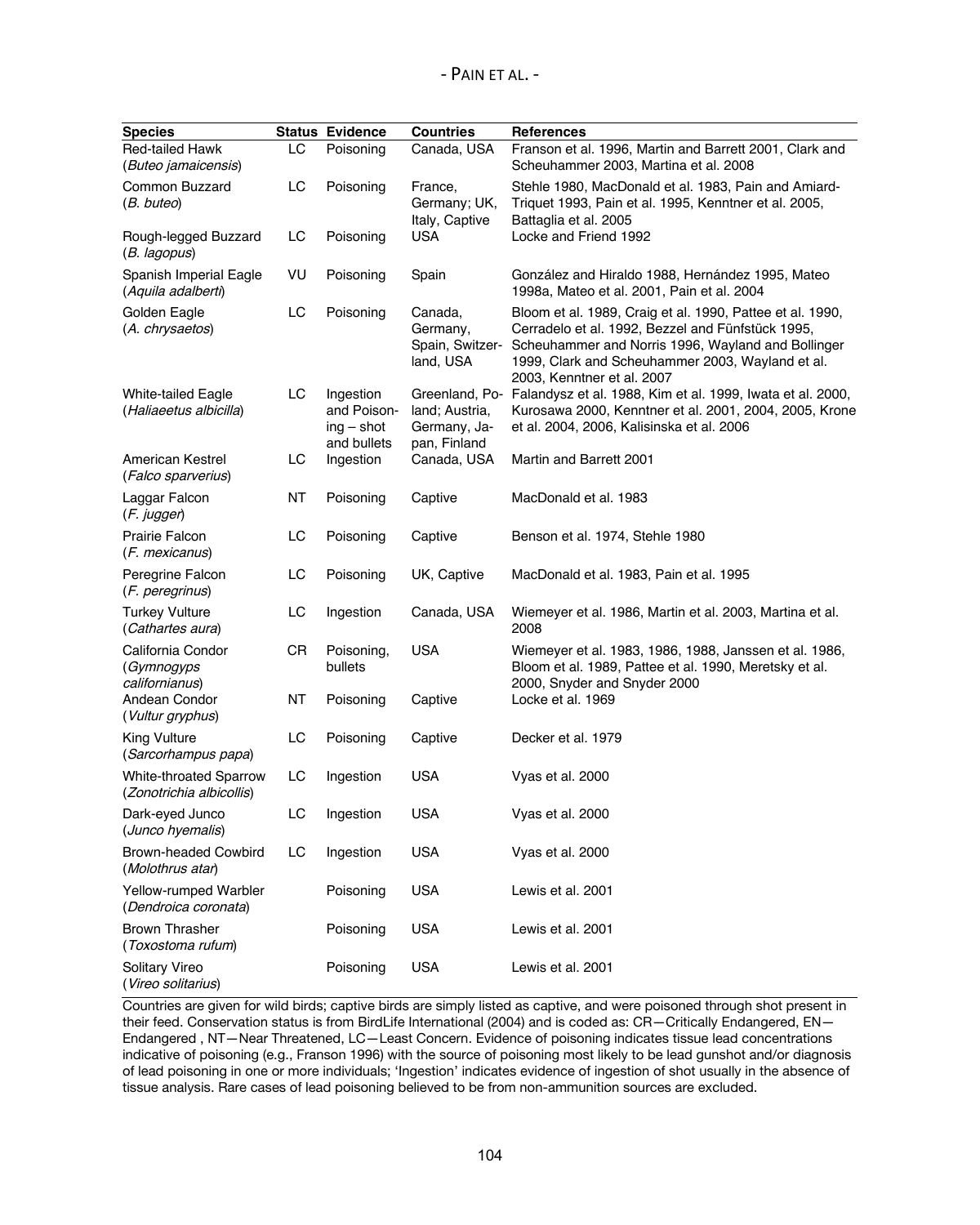| <b>Species</b>                                      |           | <b>Status Evidence</b>                                  | <b>Countries</b>                                    | References                                                                                                                                                                                                                                             |  |
|-----------------------------------------------------|-----------|---------------------------------------------------------|-----------------------------------------------------|--------------------------------------------------------------------------------------------------------------------------------------------------------------------------------------------------------------------------------------------------------|--|
| Red-tailed Hawk<br>(Buteo jamaicensis)              | LC        | Poisoning                                               | Canada, USA                                         | Franson et al. 1996, Martin and Barrett 2001, Clark and<br>Scheuhammer 2003, Martina et al. 2008                                                                                                                                                       |  |
| Common Buzzard<br>(B. buteo)                        | LC        | Poisoning                                               | France,<br>Germany; UK,<br>Italy, Captive           | Stehle 1980, MacDonald et al. 1983, Pain and Amiard-<br>Triquet 1993, Pain et al. 1995, Kenntner et al. 2005,<br>Battaglia et al. 2005                                                                                                                 |  |
| Rough-legged Buzzard<br>(B. lagopus)                | LC        | Poisoning                                               | USA                                                 | Locke and Friend 1992                                                                                                                                                                                                                                  |  |
| Spanish Imperial Eagle<br>(Aquila adalberti)        | VU        | Poisoning                                               | Spain                                               | González and Hiraldo 1988, Hernández 1995, Mateo<br>1998a, Mateo et al. 2001, Pain et al. 2004                                                                                                                                                         |  |
| Golden Eagle<br>(A. chrysaetos)                     | LC        | Poisoning                                               | Canada,<br>Germany,<br>Spain, Switzer-<br>land, USA | Bloom et al. 1989, Craig et al. 1990, Pattee et al. 1990,<br>Cerradelo et al. 1992, Bezzel and Fünfstück 1995,<br>Scheuhammer and Norris 1996, Wayland and Bollinger<br>1999, Clark and Scheuhammer 2003, Wayland et al.<br>2003, Kenntner et al. 2007 |  |
| <b>White-tailed Eagle</b><br>(Haliaeetus albicilla) | LC        | Ingestion<br>and Poison-<br>$ing - shot$<br>and bullets | land; Austria,<br>Germany, Ja-<br>pan, Finland      | Greenland, Po- Falandysz et al. 1988, Kim et al. 1999, Iwata et al. 2000,<br>Kurosawa 2000, Kenntner et al. 2001, 2004, 2005, Krone<br>et al. 2004, 2006, Kalisinska et al. 2006                                                                       |  |
| American Kestrel<br>(Falco sparverius)              | LC        | Ingestion                                               | Canada, USA                                         | Martin and Barrett 2001                                                                                                                                                                                                                                |  |
| Laggar Falcon<br>$(F.$ jugger $)$                   | <b>NT</b> | Poisoning                                               | Captive                                             | MacDonald et al. 1983                                                                                                                                                                                                                                  |  |
| Prairie Falcon<br>(F. mexicanus)                    | LC        | Poisoning                                               | Captive                                             | Benson et al. 1974, Stehle 1980                                                                                                                                                                                                                        |  |
| Peregrine Falcon<br>(F. peregrinus)                 | LC        | Poisoning                                               | UK, Captive                                         | MacDonald et al. 1983, Pain et al. 1995                                                                                                                                                                                                                |  |
| <b>Turkey Vulture</b><br>(Cathartes aura)           | LC        | Ingestion                                               | Canada, USA                                         | Wiemeyer et al. 1986, Martin et al. 2003, Martina et al.<br>2008                                                                                                                                                                                       |  |
| California Condor<br>(Gymnogyps<br>californianus)   | <b>CR</b> | Poisoning,<br>bullets                                   | <b>USA</b>                                          | Wiemeyer et al. 1983, 1986, 1988, Janssen et al. 1986,<br>Bloom et al. 1989, Pattee et al. 1990, Meretsky et al.<br>2000, Snyder and Snyder 2000                                                                                                       |  |
| Andean Condor<br>(Vultur gryphus)                   | ΝT        | Poisoning                                               | Captive                                             | Locke et al. 1969                                                                                                                                                                                                                                      |  |
| King Vulture<br>(Sarcorhampus papa)                 | LC        | Poisoning                                               | Captive                                             | Decker et al. 1979                                                                                                                                                                                                                                     |  |
| White-throated Sparrow<br>(Zonotrichia albicollis)  | LC        | Ingestion                                               | <b>USA</b>                                          | Vyas et al. 2000                                                                                                                                                                                                                                       |  |
| Dark-eyed Junco<br>(Junco hyemalis)                 | LC        | Ingestion                                               | USA                                                 | Vyas et al. 2000                                                                                                                                                                                                                                       |  |
| Brown-headed Cowbird<br>(Molothrus atar)            | LC        | Ingestion                                               | USA                                                 | Vyas et al. 2000                                                                                                                                                                                                                                       |  |
| Yellow-rumped Warbler<br>(Dendroica coronata)       |           | Poisoning                                               | USA                                                 | Lewis et al. 2001                                                                                                                                                                                                                                      |  |
| <b>Brown Thrasher</b><br>(Toxostoma rufum)          |           | Poisoning                                               | <b>USA</b>                                          | Lewis et al. 2001                                                                                                                                                                                                                                      |  |
| Solitary Vireo<br>(Vireo solitarius)                |           | Poisoning                                               | USA                                                 | Lewis et al. 2001                                                                                                                                                                                                                                      |  |

Countries are given for wild birds; captive birds are simply listed as captive, and were poisoned through shot present in their feed. Conservation status is from BirdLife International (2004) and is coded as: CR—Critically Endangered, EN— Endangered , NT—Near Threatened, LC—Least Concern. Evidence of poisoning indicates tissue lead concentrations indicative of poisoning (e.g., Franson 1996) with the source of poisoning most likely to be lead gunshot and/or diagnosis of lead poisoning in one or more individuals; 'Ingestion' indicates evidence of ingestion of shot usually in the absence of tissue analysis. Rare cases of lead poisoning believed to be from non-ammunition sources are excluded.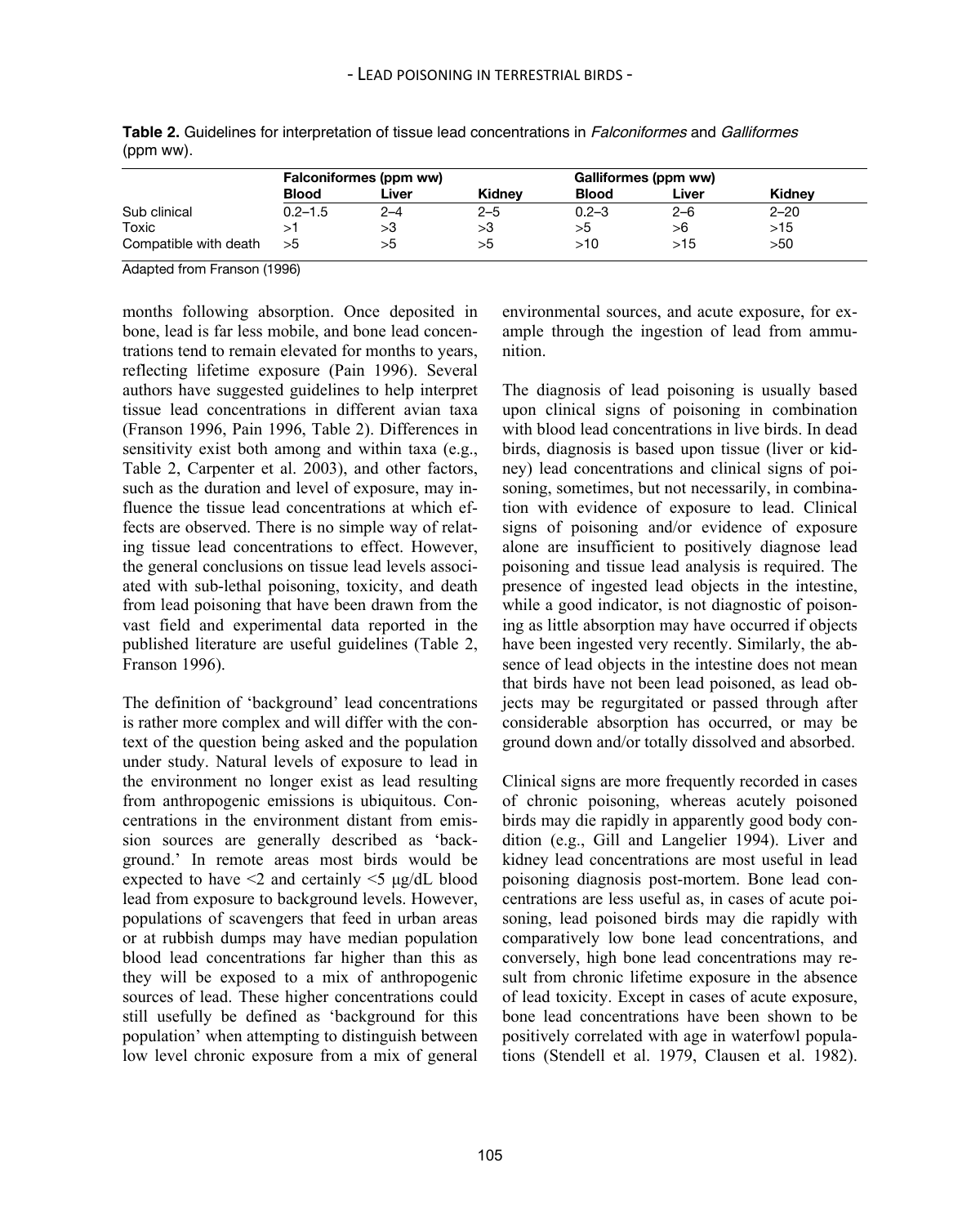|                       | Falconiformes (ppm ww) |         |         |              | Galliformes (ppm ww) |          |  |
|-----------------------|------------------------|---------|---------|--------------|----------------------|----------|--|
|                       | <b>Blood</b>           | Liver   | Kidnev  | <b>Blood</b> | Liver                | Kidnev   |  |
| Sub clinical          | $0.2 - 1.5$            | $2 - 4$ | $2 - 5$ | $0.2 - 3$    | $2 - 6$              | $2 - 20$ |  |
| Toxic                 |                        | >3      | >3      | כ'<          | >6                   | >15      |  |
| Compatible with death | >5                     | >5      | ל<      | >10          | >15                  | >50      |  |

**Table 2.** Guidelines for interpretation of tissue lead concentrations in Falconiformes and Galliformes (ppm ww).

Adapted from Franson (1996)

months following absorption. Once deposited in bone, lead is far less mobile, and bone lead concentrations tend to remain elevated for months to years, reflecting lifetime exposure (Pain 1996). Several authors have suggested guidelines to help interpret tissue lead concentrations in different avian taxa (Franson 1996, Pain 1996, Table 2). Differences in sensitivity exist both among and within taxa (e.g., Table 2, Carpenter et al. 2003), and other factors, such as the duration and level of exposure, may influence the tissue lead concentrations at which effects are observed. There is no simple way of relating tissue lead concentrations to effect. However, the general conclusions on tissue lead levels associated with sub-lethal poisoning, toxicity, and death from lead poisoning that have been drawn from the vast field and experimental data reported in the published literature are useful guidelines (Table 2, Franson 1996).

The definition of 'background' lead concentrations is rather more complex and will differ with the context of the question being asked and the population under study. Natural levels of exposure to lead in the environment no longer exist as lead resulting from anthropogenic emissions is ubiquitous. Concentrations in the environment distant from emission sources are generally described as 'background.' In remote areas most birds would be expected to have  $\leq 2$  and certainly  $\leq 5$  µg/dL blood lead from exposure to background levels. However, populations of scavengers that feed in urban areas or at rubbish dumps may have median population blood lead concentrations far higher than this as they will be exposed to a mix of anthropogenic sources of lead. These higher concentrations could still usefully be defined as 'background for this population' when attempting to distinguish between low level chronic exposure from a mix of general environmental sources, and acute exposure, for example through the ingestion of lead from ammunition.

The diagnosis of lead poisoning is usually based upon clinical signs of poisoning in combination with blood lead concentrations in live birds. In dead birds, diagnosis is based upon tissue (liver or kidney) lead concentrations and clinical signs of poisoning, sometimes, but not necessarily, in combination with evidence of exposure to lead. Clinical signs of poisoning and/or evidence of exposure alone are insufficient to positively diagnose lead poisoning and tissue lead analysis is required. The presence of ingested lead objects in the intestine, while a good indicator, is not diagnostic of poisoning as little absorption may have occurred if objects have been ingested very recently. Similarly, the absence of lead objects in the intestine does not mean that birds have not been lead poisoned, as lead objects may be regurgitated or passed through after considerable absorption has occurred, or may be ground down and/or totally dissolved and absorbed.

Clinical signs are more frequently recorded in cases of chronic poisoning, whereas acutely poisoned birds may die rapidly in apparently good body condition (e.g., Gill and Langelier 1994). Liver and kidney lead concentrations are most useful in lead poisoning diagnosis post-mortem. Bone lead concentrations are less useful as, in cases of acute poisoning, lead poisoned birds may die rapidly with comparatively low bone lead concentrations, and conversely, high bone lead concentrations may result from chronic lifetime exposure in the absence of lead toxicity. Except in cases of acute exposure, bone lead concentrations have been shown to be positively correlated with age in waterfowl populations (Stendell et al. 1979, Clausen et al. 1982).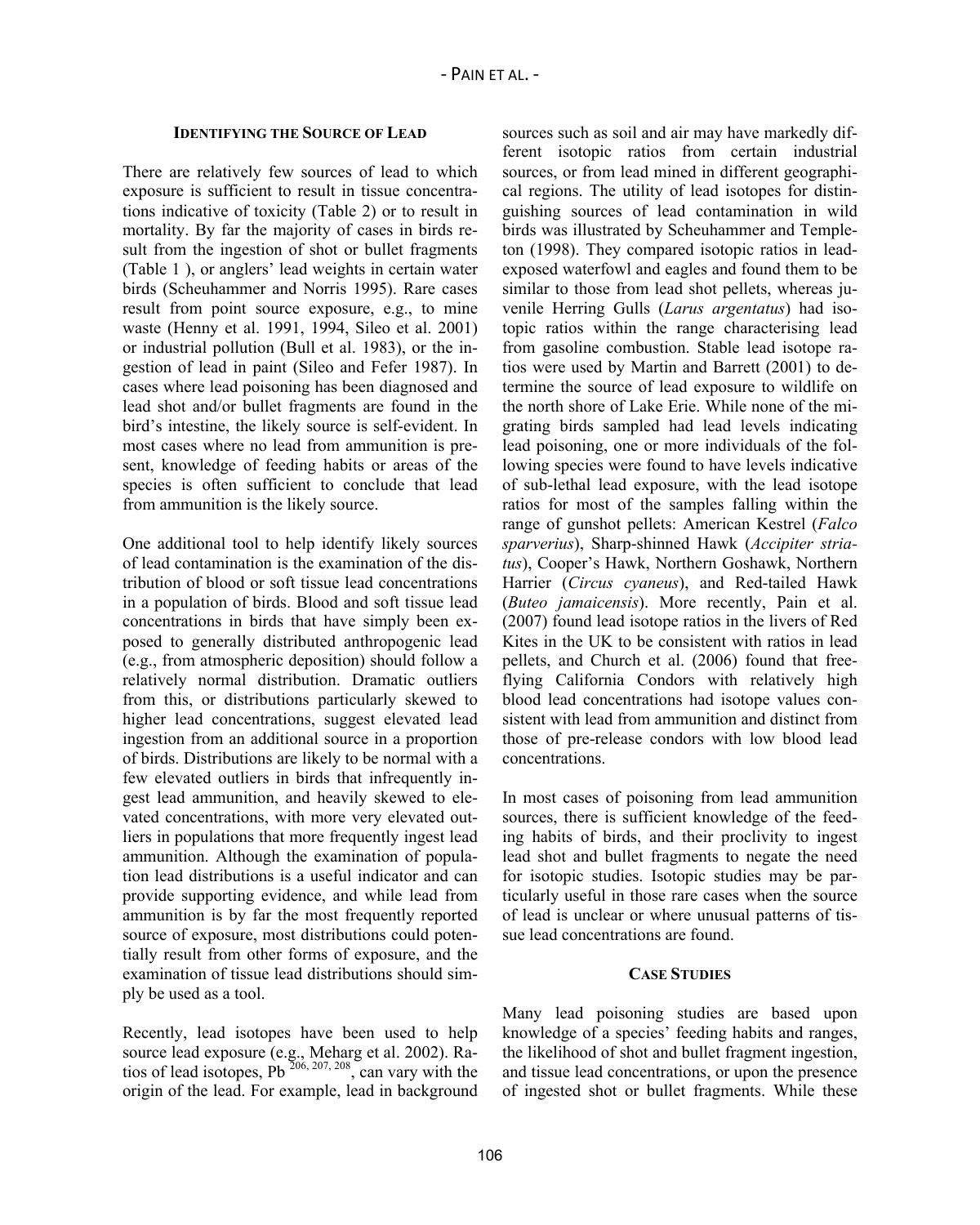#### **IDENTIFYING THE SOURCE OF LEAD**

There are relatively few sources of lead to which exposure is sufficient to result in tissue concentrations indicative of toxicity (Table 2) or to result in mortality. By far the majority of cases in birds result from the ingestion of shot or bullet fragments (Table 1 ), or anglers' lead weights in certain water birds (Scheuhammer and Norris 1995). Rare cases result from point source exposure, e.g., to mine waste (Henny et al. 1991, 1994, Sileo et al. 2001) or industrial pollution (Bull et al. 1983), or the ingestion of lead in paint (Sileo and Fefer 1987). In cases where lead poisoning has been diagnosed and lead shot and/or bullet fragments are found in the bird's intestine, the likely source is self-evident. In most cases where no lead from ammunition is present, knowledge of feeding habits or areas of the species is often sufficient to conclude that lead from ammunition is the likely source.

One additional tool to help identify likely sources of lead contamination is the examination of the distribution of blood or soft tissue lead concentrations in a population of birds. Blood and soft tissue lead concentrations in birds that have simply been exposed to generally distributed anthropogenic lead (e.g., from atmospheric deposition) should follow a relatively normal distribution. Dramatic outliers from this, or distributions particularly skewed to higher lead concentrations, suggest elevated lead ingestion from an additional source in a proportion of birds. Distributions are likely to be normal with a few elevated outliers in birds that infrequently ingest lead ammunition, and heavily skewed to elevated concentrations, with more very elevated outliers in populations that more frequently ingest lead ammunition. Although the examination of population lead distributions is a useful indicator and can provide supporting evidence, and while lead from ammunition is by far the most frequently reported source of exposure, most distributions could potentially result from other forms of exposure, and the examination of tissue lead distributions should simply be used as a tool.

Recently, lead isotopes have been used to help source lead exposure (e.g., Meharg et al. 2002). Ratios of lead isotopes, Pb  $^{206, 207, 208}$ , can vary with the origin of the lead. For example, lead in background

sources such as soil and air may have markedly different isotopic ratios from certain industrial sources, or from lead mined in different geographical regions. The utility of lead isotopes for distinguishing sources of lead contamination in wild birds was illustrated by Scheuhammer and Templeton (1998). They compared isotopic ratios in leadexposed waterfowl and eagles and found them to be similar to those from lead shot pellets, whereas juvenile Herring Gulls (*Larus argentatus*) had isotopic ratios within the range characterising lead from gasoline combustion. Stable lead isotope ratios were used by Martin and Barrett (2001) to determine the source of lead exposure to wildlife on the north shore of Lake Erie. While none of the migrating birds sampled had lead levels indicating lead poisoning, one or more individuals of the following species were found to have levels indicative of sub-lethal lead exposure, with the lead isotope ratios for most of the samples falling within the range of gunshot pellets: American Kestrel (*Falco sparverius*), Sharp-shinned Hawk (*Accipiter striatus*), Cooper's Hawk, Northern Goshawk, Northern Harrier (*Circus cyaneus*), and Red-tailed Hawk (*Buteo jamaicensis*). More recently, Pain et al. (2007) found lead isotope ratios in the livers of Red Kites in the UK to be consistent with ratios in lead pellets, and Church et al. (2006) found that freeflying California Condors with relatively high blood lead concentrations had isotope values consistent with lead from ammunition and distinct from those of pre-release condors with low blood lead concentrations.

In most cases of poisoning from lead ammunition sources, there is sufficient knowledge of the feeding habits of birds, and their proclivity to ingest lead shot and bullet fragments to negate the need for isotopic studies. Isotopic studies may be particularly useful in those rare cases when the source of lead is unclear or where unusual patterns of tissue lead concentrations are found.

#### **CASE STUDIES**

Many lead poisoning studies are based upon knowledge of a species' feeding habits and ranges, the likelihood of shot and bullet fragment ingestion, and tissue lead concentrations, or upon the presence of ingested shot or bullet fragments. While these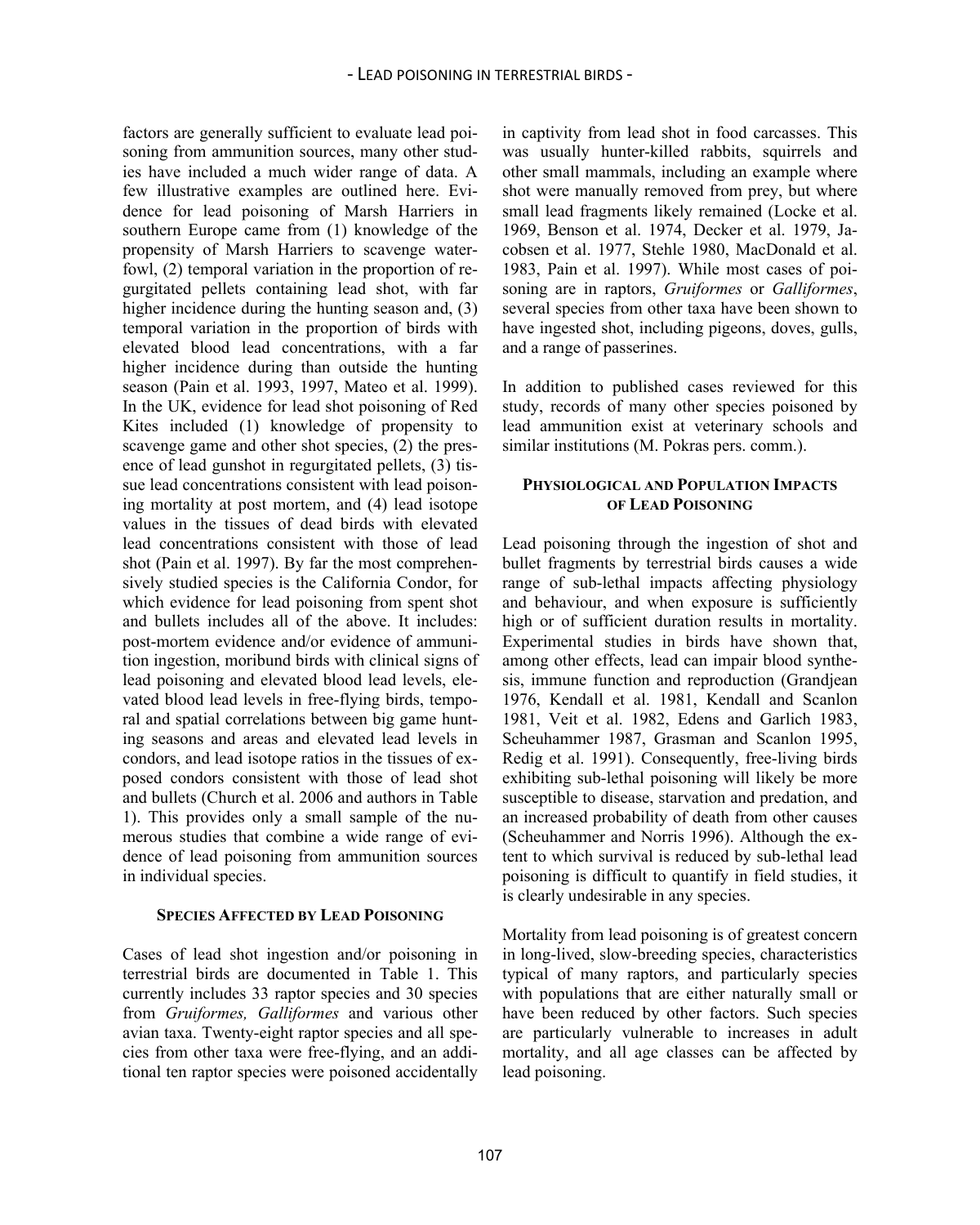factors are generally sufficient to evaluate lead poisoning from ammunition sources, many other studies have included a much wider range of data. A few illustrative examples are outlined here. Evidence for lead poisoning of Marsh Harriers in southern Europe came from (1) knowledge of the propensity of Marsh Harriers to scavenge waterfowl, (2) temporal variation in the proportion of regurgitated pellets containing lead shot, with far higher incidence during the hunting season and, (3) temporal variation in the proportion of birds with elevated blood lead concentrations, with a far higher incidence during than outside the hunting season (Pain et al. 1993, 1997, Mateo et al. 1999). In the UK, evidence for lead shot poisoning of Red Kites included (1) knowledge of propensity to scavenge game and other shot species, (2) the presence of lead gunshot in regurgitated pellets, (3) tissue lead concentrations consistent with lead poisoning mortality at post mortem, and (4) lead isotope values in the tissues of dead birds with elevated lead concentrations consistent with those of lead shot (Pain et al. 1997). By far the most comprehensively studied species is the California Condor, for which evidence for lead poisoning from spent shot and bullets includes all of the above. It includes: post-mortem evidence and/or evidence of ammunition ingestion, moribund birds with clinical signs of lead poisoning and elevated blood lead levels, elevated blood lead levels in free-flying birds, temporal and spatial correlations between big game hunting seasons and areas and elevated lead levels in condors, and lead isotope ratios in the tissues of exposed condors consistent with those of lead shot and bullets (Church et al. 2006 and authors in Table 1). This provides only a small sample of the numerous studies that combine a wide range of evidence of lead poisoning from ammunition sources in individual species.

### **SPECIES AFFECTED BY LEAD POISONING**

Cases of lead shot ingestion and/or poisoning in terrestrial birds are documented in Table 1. This currently includes 33 raptor species and 30 species from *Gruiformes, Galliformes* and various other avian taxa. Twenty-eight raptor species and all species from other taxa were free-flying, and an additional ten raptor species were poisoned accidentally in captivity from lead shot in food carcasses. This was usually hunter-killed rabbits, squirrels and other small mammals, including an example where shot were manually removed from prey, but where small lead fragments likely remained (Locke et al. 1969, Benson et al. 1974, Decker et al. 1979, Jacobsen et al. 1977, Stehle 1980, MacDonald et al. 1983, Pain et al. 1997). While most cases of poisoning are in raptors, *Gruiformes* or *Galliformes*, several species from other taxa have been shown to have ingested shot, including pigeons, doves, gulls, and a range of passerines.

In addition to published cases reviewed for this study, records of many other species poisoned by lead ammunition exist at veterinary schools and similar institutions (M. Pokras pers. comm.).

### **PHYSIOLOGICAL AND POPULATION IMPACTS OF LEAD POISONING**

Lead poisoning through the ingestion of shot and bullet fragments by terrestrial birds causes a wide range of sub-lethal impacts affecting physiology and behaviour, and when exposure is sufficiently high or of sufficient duration results in mortality. Experimental studies in birds have shown that, among other effects, lead can impair blood synthesis, immune function and reproduction (Grandjean 1976, Kendall et al. 1981, Kendall and Scanlon 1981, Veit et al. 1982, Edens and Garlich 1983, Scheuhammer 1987, Grasman and Scanlon 1995, Redig et al. 1991). Consequently, free-living birds exhibiting sub-lethal poisoning will likely be more susceptible to disease, starvation and predation, and an increased probability of death from other causes (Scheuhammer and Norris 1996). Although the extent to which survival is reduced by sub-lethal lead poisoning is difficult to quantify in field studies, it is clearly undesirable in any species.

Mortality from lead poisoning is of greatest concern in long-lived, slow-breeding species, characteristics typical of many raptors, and particularly species with populations that are either naturally small or have been reduced by other factors. Such species are particularly vulnerable to increases in adult mortality, and all age classes can be affected by lead poisoning.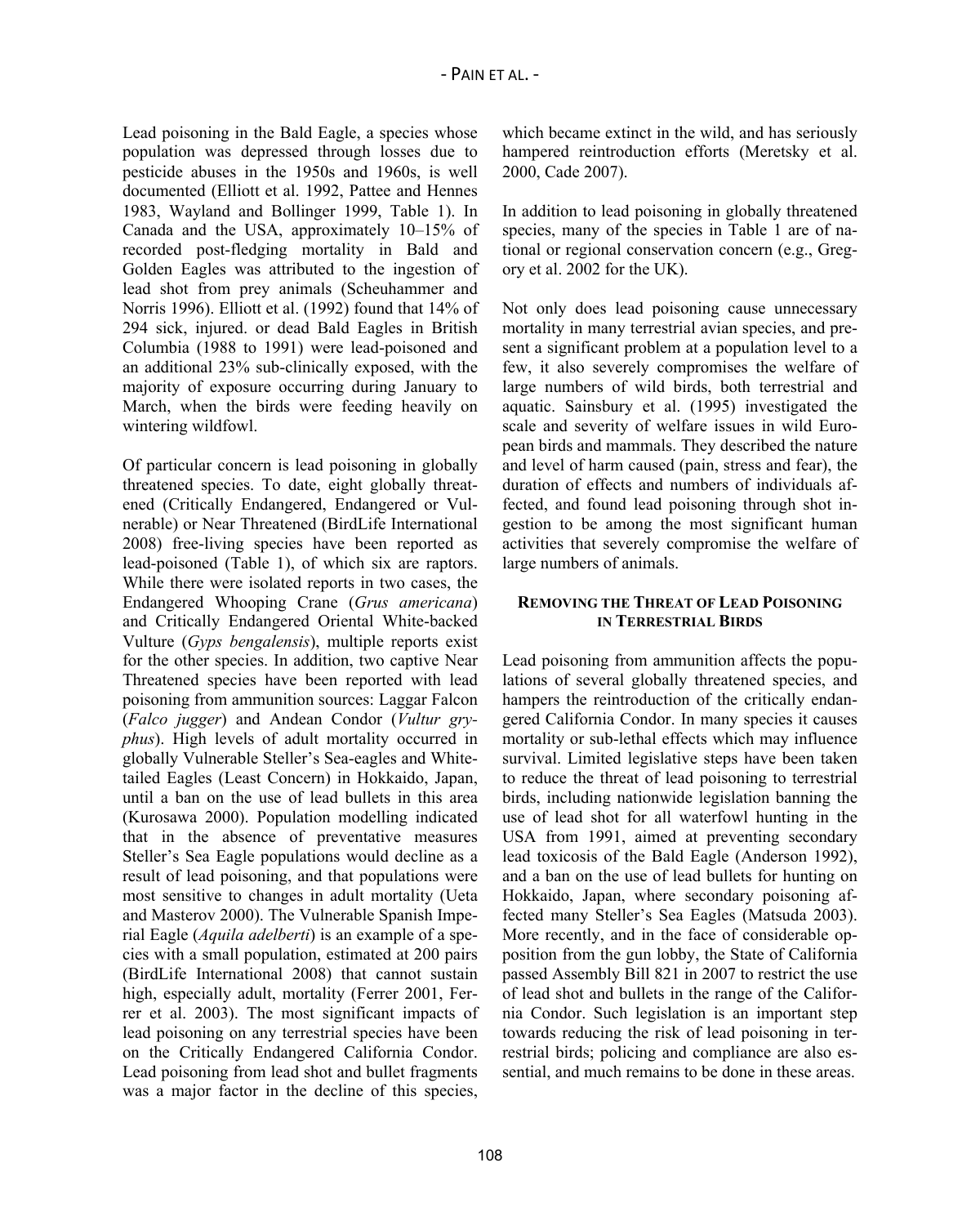Lead poisoning in the Bald Eagle, a species whose population was depressed through losses due to pesticide abuses in the 1950s and 1960s, is well documented (Elliott et al. 1992, Pattee and Hennes 1983, Wayland and Bollinger 1999, Table 1). In Canada and the USA, approximately 10–15% of recorded post-fledging mortality in Bald and Golden Eagles was attributed to the ingestion of lead shot from prey animals (Scheuhammer and Norris 1996). Elliott et al. (1992) found that 14% of 294 sick, injured. or dead Bald Eagles in British Columbia (1988 to 1991) were lead-poisoned and an additional 23% sub-clinically exposed, with the majority of exposure occurring during January to March, when the birds were feeding heavily on wintering wildfowl.

Of particular concern is lead poisoning in globally threatened species. To date, eight globally threatened (Critically Endangered, Endangered or Vulnerable) or Near Threatened (BirdLife International 2008) free-living species have been reported as lead-poisoned (Table 1), of which six are raptors. While there were isolated reports in two cases, the Endangered Whooping Crane (*Grus americana*) and Critically Endangered Oriental White-backed Vulture (*Gyps bengalensis*), multiple reports exist for the other species. In addition, two captive Near Threatened species have been reported with lead poisoning from ammunition sources: Laggar Falcon (*Falco jugger*) and Andean Condor (*Vultur gryphus*). High levels of adult mortality occurred in globally Vulnerable Steller's Sea-eagles and Whitetailed Eagles (Least Concern) in Hokkaido, Japan, until a ban on the use of lead bullets in this area (Kurosawa 2000). Population modelling indicated that in the absence of preventative measures Steller's Sea Eagle populations would decline as a result of lead poisoning, and that populations were most sensitive to changes in adult mortality (Ueta and Masterov 2000). The Vulnerable Spanish Imperial Eagle (*Aquila adelberti*) is an example of a species with a small population, estimated at 200 pairs (BirdLife International 2008) that cannot sustain high, especially adult, mortality (Ferrer 2001, Ferrer et al. 2003). The most significant impacts of lead poisoning on any terrestrial species have been on the Critically Endangered California Condor. Lead poisoning from lead shot and bullet fragments was a major factor in the decline of this species, which became extinct in the wild, and has seriously hampered reintroduction efforts (Meretsky et al. 2000, Cade 2007).

In addition to lead poisoning in globally threatened species, many of the species in Table 1 are of national or regional conservation concern (e.g., Gregory et al. 2002 for the UK).

Not only does lead poisoning cause unnecessary mortality in many terrestrial avian species, and present a significant problem at a population level to a few, it also severely compromises the welfare of large numbers of wild birds, both terrestrial and aquatic. Sainsbury et al. (1995) investigated the scale and severity of welfare issues in wild European birds and mammals. They described the nature and level of harm caused (pain, stress and fear), the duration of effects and numbers of individuals affected, and found lead poisoning through shot ingestion to be among the most significant human activities that severely compromise the welfare of large numbers of animals.

# **REMOVING THE THREAT OF LEAD POISONING IN TERRESTRIAL BIRDS**

Lead poisoning from ammunition affects the populations of several globally threatened species, and hampers the reintroduction of the critically endangered California Condor. In many species it causes mortality or sub-lethal effects which may influence survival. Limited legislative steps have been taken to reduce the threat of lead poisoning to terrestrial birds, including nationwide legislation banning the use of lead shot for all waterfowl hunting in the USA from 1991, aimed at preventing secondary lead toxicosis of the Bald Eagle (Anderson 1992), and a ban on the use of lead bullets for hunting on Hokkaido, Japan, where secondary poisoning affected many Steller's Sea Eagles (Matsuda 2003). More recently, and in the face of considerable opposition from the gun lobby, the State of California passed Assembly Bill 821 in 2007 to restrict the use of lead shot and bullets in the range of the California Condor. Such legislation is an important step towards reducing the risk of lead poisoning in terrestrial birds; policing and compliance are also essential, and much remains to be done in these areas.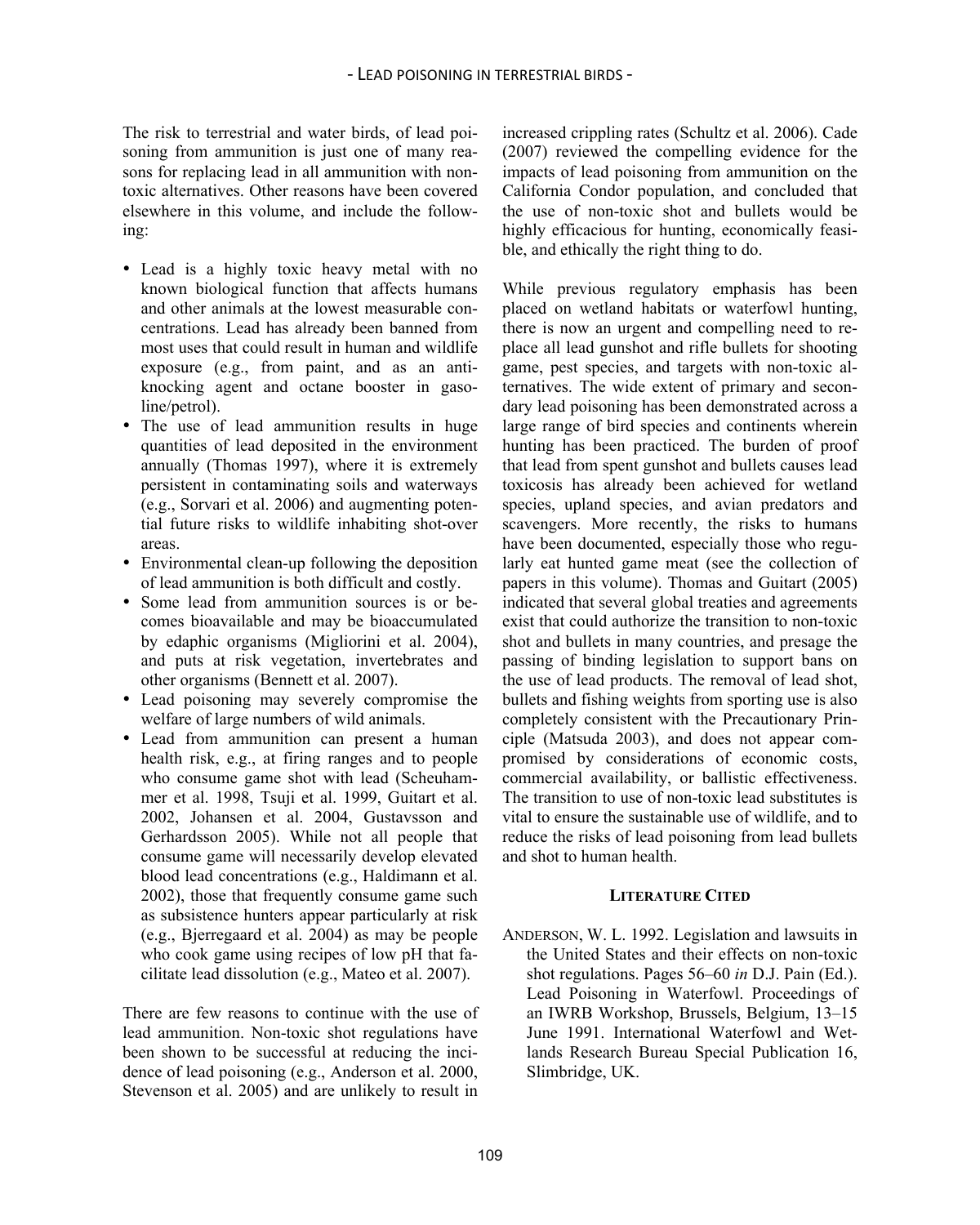The risk to terrestrial and water birds, of lead poisoning from ammunition is just one of many reasons for replacing lead in all ammunition with nontoxic alternatives. Other reasons have been covered elsewhere in this volume, and include the following:

- Lead is a highly toxic heavy metal with no known biological function that affects humans and other animals at the lowest measurable concentrations. Lead has already been banned from most uses that could result in human and wildlife exposure (e.g., from paint, and as an antiknocking agent and octane booster in gasoline/petrol).
- The use of lead ammunition results in huge quantities of lead deposited in the environment annually (Thomas 1997), where it is extremely persistent in contaminating soils and waterways (e.g., Sorvari et al. 2006) and augmenting potential future risks to wildlife inhabiting shot-over areas.
- Environmental clean-up following the deposition of lead ammunition is both difficult and costly.
- Some lead from ammunition sources is or becomes bioavailable and may be bioaccumulated by edaphic organisms (Migliorini et al. 2004), and puts at risk vegetation, invertebrates and other organisms (Bennett et al. 2007).
- Lead poisoning may severely compromise the welfare of large numbers of wild animals.
- Lead from ammunition can present a human health risk, e.g., at firing ranges and to people who consume game shot with lead (Scheuhammer et al. 1998, Tsuji et al. 1999, Guitart et al. 2002, Johansen et al. 2004, Gustavsson and Gerhardsson 2005). While not all people that consume game will necessarily develop elevated blood lead concentrations (e.g., Haldimann et al. 2002), those that frequently consume game such as subsistence hunters appear particularly at risk (e.g., Bjerregaard et al. 2004) as may be people who cook game using recipes of low pH that facilitate lead dissolution (e.g., Mateo et al. 2007).

There are few reasons to continue with the use of lead ammunition. Non-toxic shot regulations have been shown to be successful at reducing the incidence of lead poisoning (e.g., Anderson et al. 2000, Stevenson et al. 2005) and are unlikely to result in increased crippling rates (Schultz et al. 2006). Cade (2007) reviewed the compelling evidence for the impacts of lead poisoning from ammunition on the California Condor population, and concluded that the use of non-toxic shot and bullets would be highly efficacious for hunting, economically feasible, and ethically the right thing to do.

While previous regulatory emphasis has been placed on wetland habitats or waterfowl hunting, there is now an urgent and compelling need to replace all lead gunshot and rifle bullets for shooting game, pest species, and targets with non-toxic alternatives. The wide extent of primary and secondary lead poisoning has been demonstrated across a large range of bird species and continents wherein hunting has been practiced. The burden of proof that lead from spent gunshot and bullets causes lead toxicosis has already been achieved for wetland species, upland species, and avian predators and scavengers. More recently, the risks to humans have been documented, especially those who regularly eat hunted game meat (see the collection of papers in this volume). Thomas and Guitart (2005) indicated that several global treaties and agreements exist that could authorize the transition to non-toxic shot and bullets in many countries, and presage the passing of binding legislation to support bans on the use of lead products. The removal of lead shot, bullets and fishing weights from sporting use is also completely consistent with the Precautionary Principle (Matsuda 2003), and does not appear compromised by considerations of economic costs, commercial availability, or ballistic effectiveness. The transition to use of non-toxic lead substitutes is vital to ensure the sustainable use of wildlife, and to reduce the risks of lead poisoning from lead bullets and shot to human health.

# **LITERATURE CITED**

ANDERSON, W. L. 1992. Legislation and lawsuits in the United States and their effects on non-toxic shot regulations. Pages 56–60 *in* D.J. Pain (Ed.). Lead Poisoning in Waterfowl. Proceedings of an IWRB Workshop, Brussels, Belgium, 13–15 June 1991. International Waterfowl and Wetlands Research Bureau Special Publication 16, Slimbridge, UK.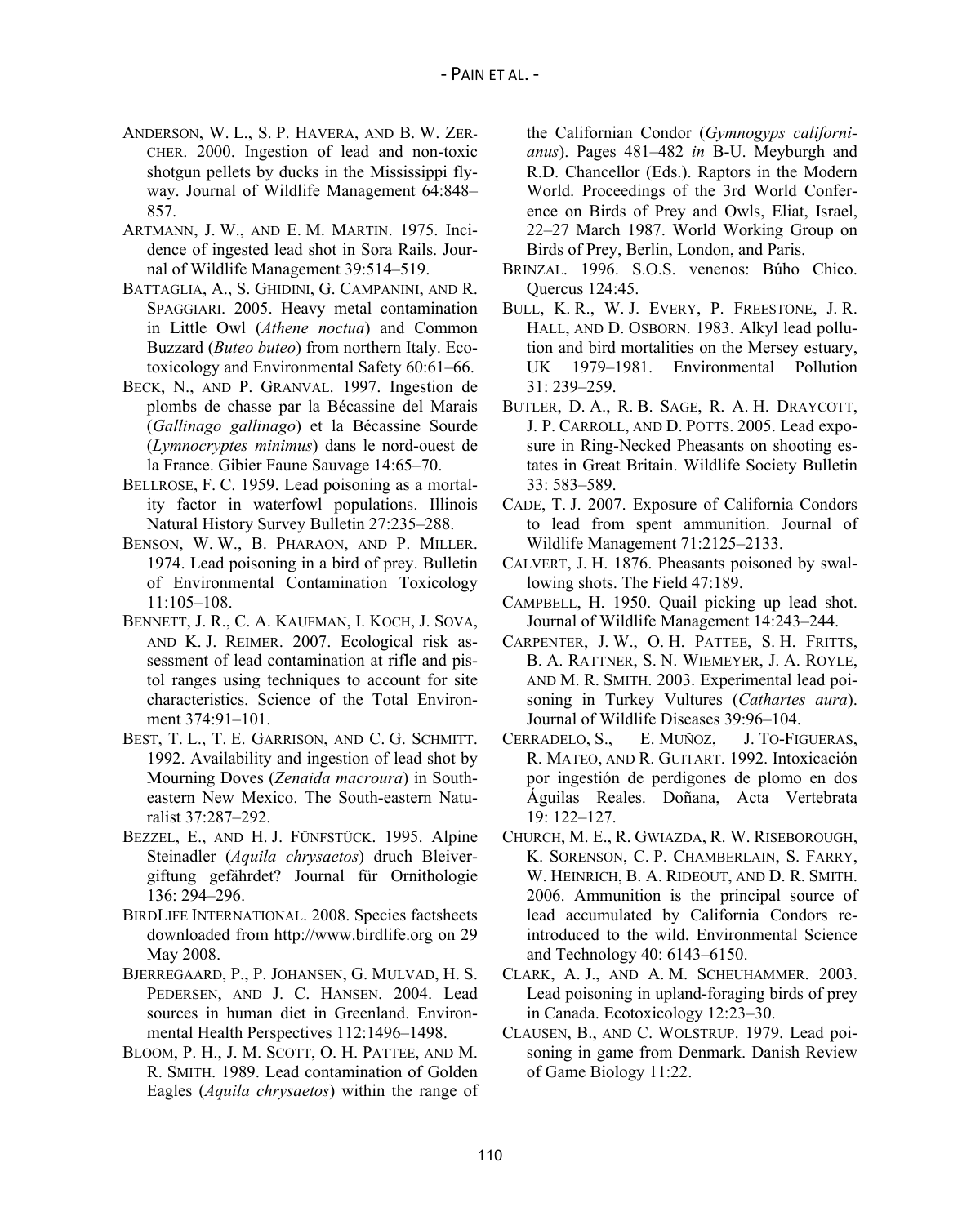- ANDERSON, W. L., S. P. HAVERA, AND B. W. ZER-CHER. 2000. Ingestion of lead and non-toxic [shotgun pellets by ducks in the Mississippi fly](http://dx.doi.org/10.2307/3802755)way. Journal of Wildlife Management 64:848– 857.
- ARTMANN, J. W., AND E. M. MARTIN. 1975. Incidence [of ingested lead shot in Sora Rails. Jour](http://dx.doi.org/10.2307/3800393)nal of Wildlife Management 39:514–519.
- BATTAGLIA, A., S. GHIDINI, G. CAMPANINI, AND R. SPAGGIARI. 2005. Heavy metal contamination in Little Owl (*Athene noctua*) and Common Buzzard (*Buteo buteo*) from northern Italy. Eco[toxicology and Environmental Safety 60:61–66.](http://dx.doi.org/10.1016/j.ecoenv.2003.12.019)
- BECK, N., AND P. GRANVAL. 1997. Ingestion de plombs de chasse par la Bécassine del Marais (*Gallinago gallinago*) et la Bécassine Sourde (*Lymnocryptes minimus*) dans le nord-ouest de la France. Gibier Faune Sauvage 14:65–70.
- BELLROSE, F. C. 1959. Lead poisoning as a mortality factor in waterfowl populations. Illinois Natural History Survey Bulletin 27:235–288.
- BENSON, W. W., B. PHARAON, AND P. MILLER. 1974. Lead poisoning in a bird of prey. Bulletin [of Environmental Contamination Toxicology](http://dx.doi.org/10.1007/BF01684587)  11:105–108.
- BENNETT, J. R., C. A. KAUFMAN, I. KOCH, J. SOVA, AND K. J. REIMER. 2007. Ecological risk assessment of lead contamination at rifle and pis[tol ranges using techniques to account for site](http://dx.doi.org/10.1016/j.scitotenv.2006.12.040)  characteristics. Science of the Total Environment 374:91–101.
- BEST, T. L., T. E. GARRISON, AND C. G. SCHMITT. [1992. Availability and ingestion of lead shot by](http://dx.doi.org/10.2307/3671871)  Mourning Doves (*Zenaida macroura*) in Southeastern New Mexico. The South-eastern Naturalist 37:287–292.
- BEZZEL, E., AND H. J. FÜNFSTÜCK. 1995. Alpine Steinadler (*Aquila chrysaetos*) druch Bleivergiftung gefährdet? [Journal für Ornithologie](http://dx.doi.org/10.1007/BF01651299)  136: 294–296.
- BIRDLIFE INTERNATIONAL. 2008. Species factsheets downloaded from <http://www.birdlife.org> on 29 May 2008.
- BJERREGAARD, P., P. JOHANSEN, G. MULVAD, H. S. PEDERSEN, AND J. C. HANSEN. 2004. Lead sources in human diet in Greenland. Environmental Health Perspectives 112:1496–1498.
- BLOOM, P. H., J. M. SCOTT, O. H. PATTEE, AND M. R. SMITH. 1989. Lead contamination of Golden Eagles (*Aquila chrysaetos*) within the range of

the Californian Condor (*Gymnogyps californianus*). Pages 481–482 *in* B-U. Meyburgh and R.D. Chancellor (Eds.). Raptors in the Modern World. Proceedings of the 3rd World Conference on Birds of Prey and Owls, Eliat, Israel, 22–27 March 1987. World Working Group on Birds of Prey, Berlin, London, and Paris.

- BRINZAL. 1996. S.O.S. venenos: Búho Chico. Quercus 124:45.
- BULL, K. R., W. J. EVERY, P. FREESTONE, J. R. HALL, AND D. OSBORN. 1983. Alkyl lead pollu[tion and bird mortalities on the Mersey estuary,](http://dx.doi.org/10.1016/0143-1471(83)90062-4) UK 1979–1981. Environmental Pollution 31: 239–259.
- BUTLER, D. A., R. B. SAGE, R. A. H. DRAYCOTT, J. P. CARROLL, AND D. POTTS. 2005. Lead exposure in Ring-Necked Pheasants on shooting es[tates in Great Britain. Wildlife Society Bulletin](http://dx.doi.org/10.2193/0091-7648(2005)33[583:LEIRPO]2.0.CO;2) 33: 583–589.
- CADE, T. J. 2007. Exposure of California Condors [to lead from spent ammunition. Journal of](http://dx.doi.org/10.2193/2007-084)  Wildlife Management 71:2125–2133.
- CALVERT, J. H. 1876. Pheasants poisoned by swallowing shots. The Field 47:189.
- CAMPBELL, H. 1950. Quail picking up lead shot. [Journal of Wildlife Management 14:243–244.](http://dx.doi.org/10.2307/3796342)
- CARPENTER, J. W., O. H. PATTEE, S. H. FRITTS, B. A. RATTNER, S. N. WIEMEYER, J. A. ROYLE, AND M. R. SMITH. 2003. Experimental lead poisoning in Turkey Vultures (*Cathartes aura*). Journal of Wildlife Diseases 39:96–104.
- CERRADELO, S., E. MUÑOZ, J. TO-FIGUERAS, R. MATEO, AND R. GUITART. 1992. Intoxicación por ingestión de perdigones de plomo en dos Águilas Reales. Doñana, Acta Vertebrata 19: 122–127.
- CHURCH, M. E., R. GWIAZDA, R. W. RISEBOROUGH, K. SORENSON, C. P. CHAMBERLAIN, S. FARRY, W. HEINRICH, B. A. RIDEOUT, AND D. R. SMITH. [2006. Ammunition is the principal source of](http://dx.doi.org/10.1021/es060765s)  lead accumulated by California Condors reintroduced to the wild. Environmental Science and Technology 40: 6143–6150.
- CLARK, A. J., AND A. M. SCHEUHAMMER. 2003. [Lead poisoning in upland-foraging birds of prey](http://dx.doi.org/10.1023/A:1022576510445) in Canada. Ecotoxicology 12:23–30.
- CLAUSEN, B., AND C. WOLSTRUP. 1979. Lead poisoning in game from Denmark. Danish Review of Game Biology 11:22.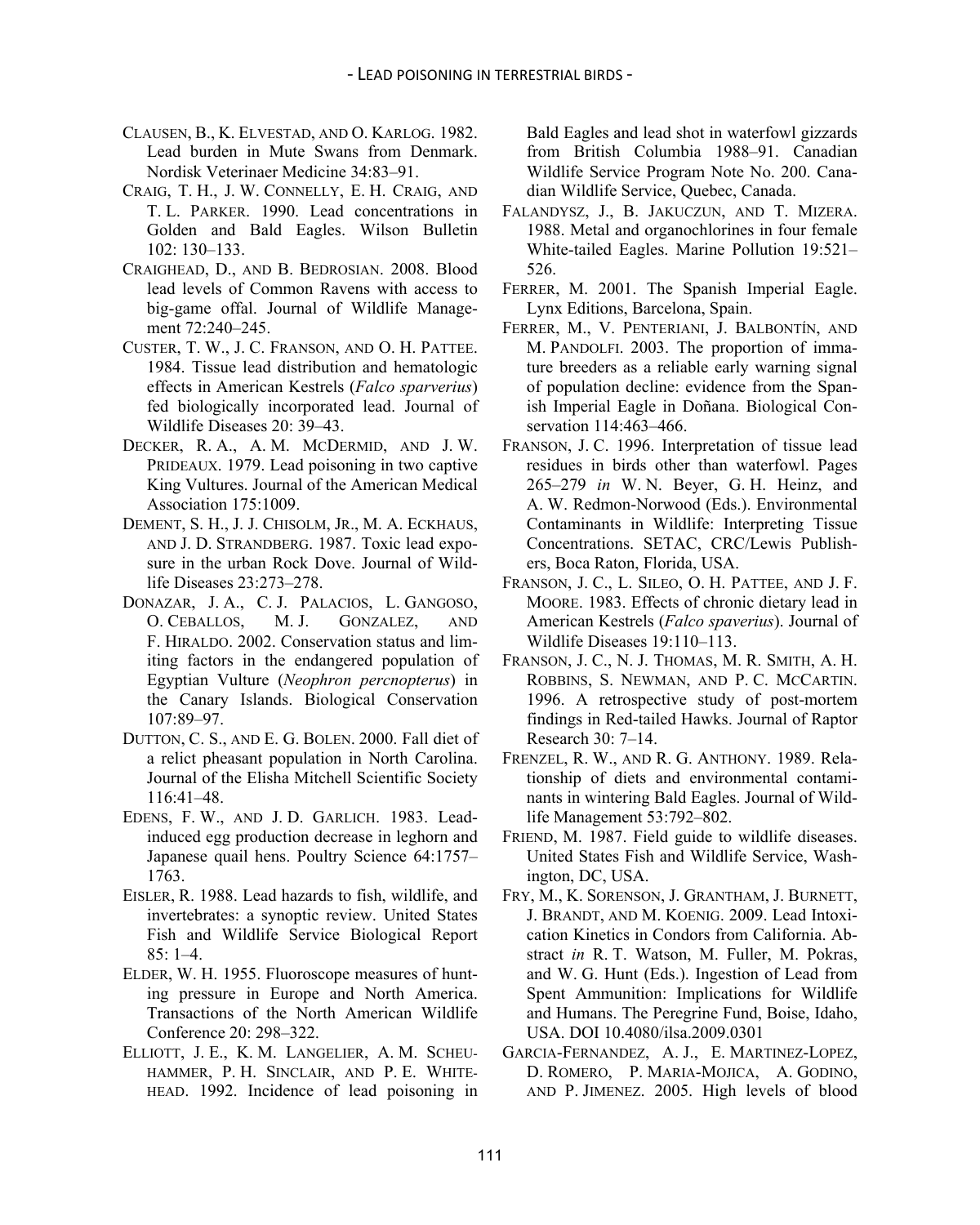- CLAUSEN, B., K. ELVESTAD, AND O. KARLOG. 1982. Lead burden in Mute Swans from Denmark. Nordisk Veterinaer Medicine 34:83–91.
- CRAIG, T. H., J. W. CONNELLY, E. H. CRAIG, AND T. L. PARKER. 1990. Lead concentrations in Golden and Bald Eagles. Wilson Bulletin 102: 130–133.
- CRAIGHEAD, D., AND B. BEDROSIAN. 2008. Blood lead levels of Common Ravens with access to [big-game offal. Journal of Wildlife Manage](http://dx.doi.org/10.2193/2007-120)ment 72:240–245.
- CUSTER, T. W., J. C. FRANSON, AND O. H. PATTEE. 1984. Tissue lead distribution and hematologic effects in American Kestrels (*Falco sparverius*) fed biologically incorporated lead. Journal of Wildlife Diseases 20: 39–43.
- DECKER, R. A., A. M. MCDERMID, AND J. W. PRIDEAUX. 1979. Lead poisoning in two captive King Vultures. Journal of the American Medical Association 175:1009.
- DEMENT, S. H., J. J. CHISOLM, JR., M. A. ECKHAUS, AND J. D. STRANDBERG. 1987. Toxic lead exposure in the urban Rock Dove. Journal of Wildlife Diseases 23:273–278.
- DONAZAR, J. A., C. J. PALACIOS, L. GANGOSO, O. CEBALLOS, M. J. GONZALEZ, AND F. HIRALDO. 2002. Conservation status and limiting factors in the endangered population of Egyptian Vulture (*Neophron percnopterus*) in [the Canary Islands. Biological Conservation](http://dx.doi.org/10.1016/S0006-3207(02)00049-6)  107:89–97.
- DUTTON, C. S., AND E. G. BOLEN. 2000. Fall diet of a relict pheasant population in North Carolina. Journal of the Elisha Mitchell Scientific Society 116:41–48.
- EDENS, F. W., AND J. D. GARLICH. 1983. Leadinduced egg production decrease in leghorn and Japanese quail hens. Poultry Science 64:1757– 1763.
- EISLER, R. 1988. Lead hazards to fish, wildlife, and invertebrates: a synoptic review. United States Fish and Wildlife Service Biological Report  $85:1-4.$
- ELDER, W. H. 1955. Fluoroscope measures of hunting pressure in Europe and North America. Transactions of the North American Wildlife Conference 20: 298–322.
- ELLIOTT, J. E., K. M. LANGELIER, A. M. SCHEU-HAMMER, P. H. SINCLAIR, AND P. E. WHITE-HEAD. 1992. Incidence of lead poisoning in

Bald Eagles and lead shot in waterfowl gizzards from British Columbia 1988–91. Canadian Wildlife Service Program Note No. 200. Canadian Wildlife Service, Quebec, Canada.

- FALANDYSZ, J., B. JAKUCZUN, AND T. MIZERA. [1988. Metal and organochlorines in four female](http://dx.doi.org/10.1016/0025-326X(88)90542-5) White-tailed Eagles. Marine Pollution 19:521– 526.
- FERRER, M. 2001. The Spanish Imperial Eagle. Lynx Editions, Barcelona, Spain.
- FERRER, M., V. PENTERIANI, J. BALBONTÍN, AND M. PANDOLFI. 2003. The proportion of imma[ture breeders as a reliable early warning signal](http://dx.doi.org/10.1016/S0006-3207(03)00085-5) of population decline: evidence from the Spanish Imperial Eagle in Doñana. Biological Conservation 114:463–466.
- FRANSON, J. C. 1996. Interpretation of tissue lead residues in birds other than waterfowl. Pages 265–279 *in* W. N. Beyer, G. H. Heinz, and A. W. Redmon-Norwood (Eds.). Environmental Contaminants in Wildlife: Interpreting Tissue Concentrations. SETAC, CRC/Lewis Publishers, Boca Raton, Florida, USA.
- FRANSON, J. C., L. SILEO, O. H. PATTEE, AND J. F. MOORE. 1983. Effects of chronic dietary lead in American Kestrels (*Falco spaverius*). Journal of Wildlife Diseases 19:110–113.
- FRANSON, J. C., N. J. THOMAS, M. R. SMITH, A. H. ROBBINS, S. NEWMAN, AND P. C. MCCARTIN. 1996. A retrospective study of post-mortem findings in Red-tailed Hawks. Journal of Raptor Research 30: 7–14.
- FRENZEL, R. W., AND R. G. ANTHONY. 1989. Rela[tionship of diets and environmental contami](http://dx.doi.org/10.2307/3809214)nants in wintering Bald Eagles. Journal of Wildlife Management 53:792–802.
- FRIEND, M. 1987. Field guide to wildlife diseases. United States Fish and Wildlife Service, Washington, DC, USA.
- FRY, M., K. SORENSON, J. GRANTHAM, J. BURNETT, J. BRANDT, AND M. KOENIG. 2009. Lead Intoxication Kinetics in Condors from California. Abstract *in* R. T. Watson, M. Fuller, M. Pokras, and W. G. Hunt (Eds.). Ingestion of Lead from Spent Ammunition: Implications for Wildlife and Humans. The Peregrine Fund, Boise, Idaho, USA. DOI 10.4080/ilsa.2009.0301
- GARCIA-FERNANDEZ, A. J., E. MARTINEZ-LOPEZ, D. ROMERO, P. MARIA-MOJICA, A. GODINO, AND P. JIMENEZ. [2005. High levels of blood](http://dx.doi.org/10.1002/tox.20132)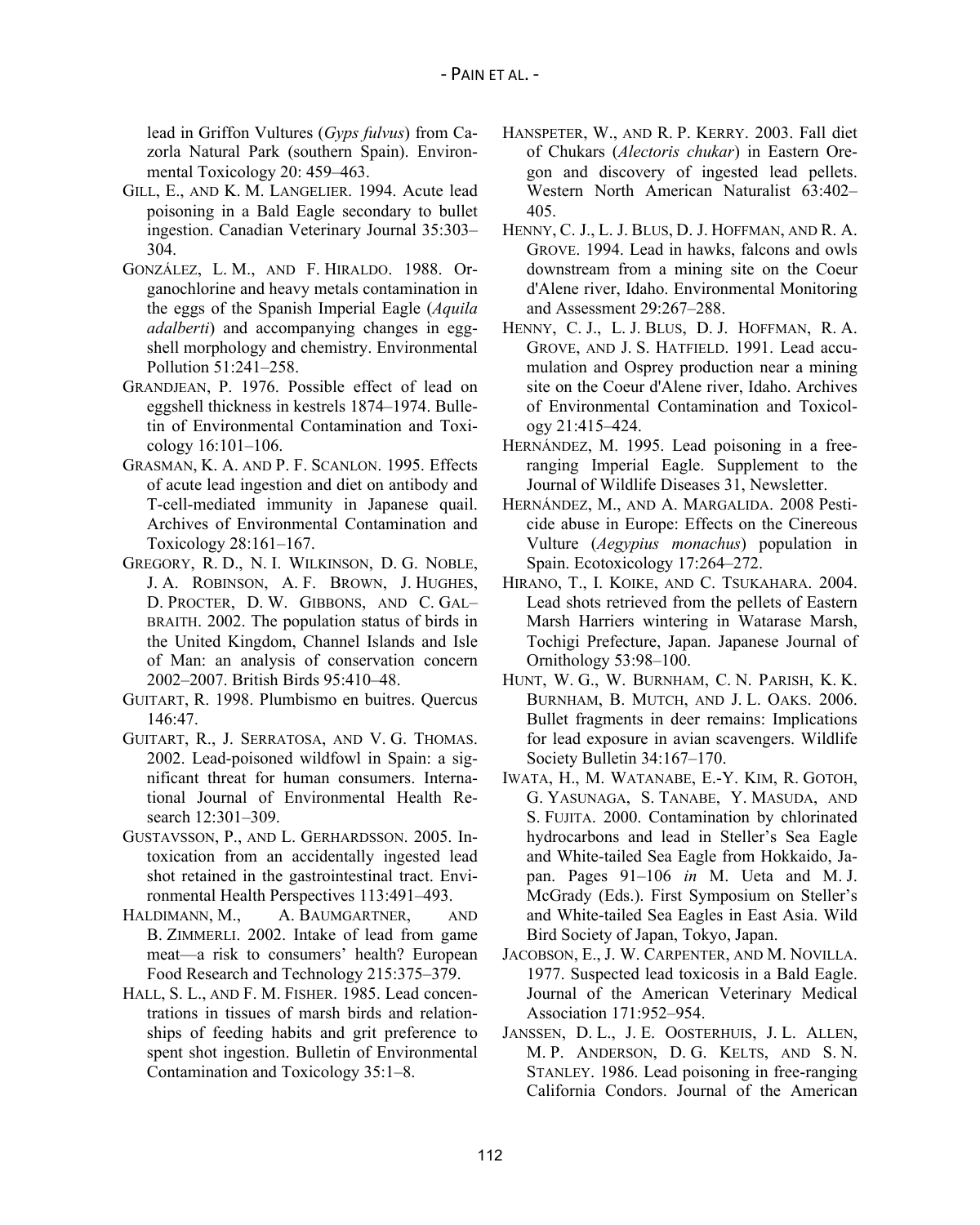lead in Griffon Vultures (*Gyps fulvus*) from Ca[zorla Natural Park \(southern Spain\). Environ](http://dx.doi.org/10.1002/tox.20132)mental Toxicology 20: 459–463.

- GILL, E., AND K. M. LANGELIER. 1994. Acute lead poisoning in a Bald Eagle secondary to bullet ingestion. Canadian Veterinary Journal 35:303– 304.
- GONZÁLEZ, L. M., AND F. HIRALDO. 1988. Or[ganochlorine and heavy metals contamination in](http://dx.doi.org/10.1016/0269-7491(88)90165-0)  the eggs of the Spanish Imperial Eagle (*Aquila adalberti*) and accompanying changes in eggshell morphology and chemistry. Environmental Pollution 51:241–258.
- GRANDJEAN, P. 1976. Possible effect of lead on eggshell thickness in kestrels 1874–1974. Bulle[tin of Environmental Contamination and Toxi](http://dx.doi.org/10.1007/BF01753113)cology 16:101–106.
- GRASMAN, K. A. AND P. F. SCANLON. 1995. Effects [of acute lead ingestion and diet on antibody and](http://dx.doi.org/10.1007/BF00217611)  T-cell-mediated immunity in Japanese quail. Archives of Environmental Contamination and Toxicology 28:161–167.
- GREGORY, R. D., N. I. WILKINSON, D. G. NOBLE, J. A. ROBINSON, A. F. BROWN, J. HUGHES, D. PROCTER, D. W. GIBBONS, AND C. GAL– BRAITH. 2002. The population status of birds in the United Kingdom, Channel Islands and Isle of Man: an analysis of conservation concern 2002–2007. British Birds 95:410–48.
- GUITART, R. 1998. Plumbismo en buitres. Quercus 146:47.
- GUITART, R., J. SERRATOSA, AND V. G. THOMAS. 2002. Lead-poisoned wildfowl in Spain: a sig[nificant threat for human consumers. Interna](http://dx.doi.org/10.1080/0960312021000056410)tional Journal of Environmental Health Research 12:301–309.
- GUSTAVSSON, P., AND L. GERHARDSSON. 2005. In[toxication from an accidentally ingested lead](http://dx.doi.org/10.1289/ehp.7594)  shot retained in the gastrointestinal tract. Environmental Health Perspectives 113:491–493.
- HALDIMANN, M., A. BAUMGARTNER, AND B. ZIMMERLI. 2002. Intake of lead from game meat—a risk to consumers' health? European [Food Research and Technology 215:375–379.](http://dx.doi.org/10.1007/s00217-002-0581-3)
- HALL, S. L., AND F. M. FISHER. 1985. Lead concentrations in tissues of marsh birds and relation[ships of feeding habits and grit preference to](http://dx.doi.org/10.1007/BF01636472)  spent shot ingestion. Bulletin of Environmental Contamination and Toxicology 35:1–8.
- HANSPETER, W., AND R. P. KERRY. 2003. Fall diet of Chukars (*Alectoris chukar*) in Eastern Oregon and discovery of ingested lead pellets. Western North American Naturalist 63:402– 405.
- HENNY, C. J., L. J. BLUS, D. J. HOFFMAN, AND R. A. GROVE. 1994. Lead in hawks, falcons and owls [downstream from a mining site on the Coeur](http://dx.doi.org/10.1007/BF00547991) d'Alene river, Idaho. Environmental Monitoring and Assessment 29:267–288.
- HENNY, C. J., L. J. BLUS, D. J. HOFFMAN, R. A. GROVE, AND J. S. HATFIELD. 1991. Lead accu[mulation and Osprey production near a mining](http://dx.doi.org/10.1007/BF01060365) site on the Coeur d'Alene river, Idaho. Archives of Environmental Contamination and Toxicology 21:415–424.
- HERNÁNDEZ, M. 1995. Lead poisoning in a freeranging Imperial Eagle. Supplement to the Journal of Wildlife Diseases 31, Newsletter.
- HERNÁNDEZ, M., AND A. MARGALIDA. 2008 Pesti[cide abuse in Europe: Effects on the Cinereous](http://dx.doi.org/10.1007/s10646-008-0193-1) Vulture (*Aegypius monachus*) population in Spain. Ecotoxicology 17:264–272.
- HIRANO, T., I. KOIKE, AND C. TSUKAHARA. 2004. [Lead shots retrieved from the pellets of Eastern](http://dx.doi.org/10.3838/jjo.53.98) Marsh Harriers wintering in Watarase Marsh, Tochigi Prefecture, Japan. Japanese Journal of Ornithology 53:98–100.
- HUNT, W. G., W. BURNHAM, C. N. PARISH, K. K. BURNHAM, B. MUTCH, AND J. L. OAKS. 2006. [Bullet fragments in deer remains: Implications](http://dx.doi.org/10.2193/0091-7648(2006)34%5B167:BFIDRI%5D2.0.CO;2) for lead exposure in avian scavengers. Wildlife Society Bulletin 34:167–170.
- IWATA, H., M. WATANABE, E.-Y. KIM, R. GOTOH, G. YASUNAGA, S. TANABE, Y. MASUDA, AND S. FUJITA. 2000. Contamination by chlorinated hydrocarbons and lead in Steller's Sea Eagle and White-tailed Sea Eagle from Hokkaido, Japan. Pages 91–106 *in* M. Ueta and M. J. McGrady (Eds.). First Symposium on Steller's and White-tailed Sea Eagles in East Asia. Wild Bird Society of Japan, Tokyo, Japan.
- JACOBSON, E., J. W. CARPENTER, AND M. NOVILLA. 1977. Suspected lead toxicosis in a Bald Eagle. Journal of the American Veterinary Medical Association 171:952–954.
- JANSSEN, D. L., J. E. OOSTERHUIS, J. L. ALLEN, M. P. ANDERSON, D. G. KELTS, AND S. N. STANLEY. 1986. Lead poisoning in free-ranging California Condors. Journal of the American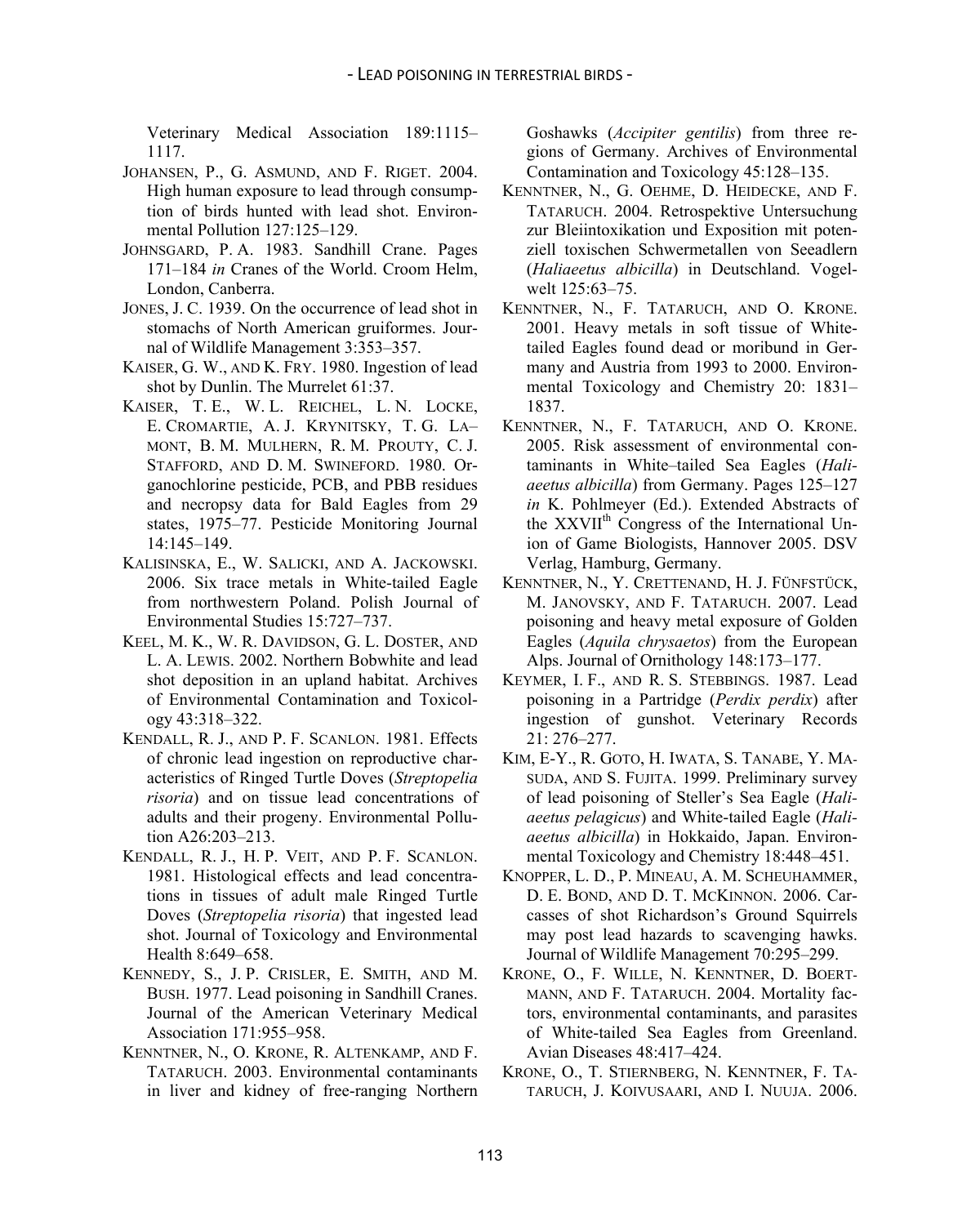Veterinary Medical Association 189:1115– 1117.

- JOHANSEN, P., G. ASMUND, AND F. RIGET. 2004. [High human exposure to lead through consump](http://dx.doi.org/10.1016/S0269-7491(03)00255-0)tion of birds hunted with lead shot. Environmental Pollution 127:125–129.
- JOHNSGARD, P. A. 1983. Sandhill Crane. Pages 171–184 *in* Cranes of the World. Croom Helm, London, Canberra.
- JONES, J. C. 1939. On the occurrence of lead shot in [stomachs of North American gruiformes. Jour](http://dx.doi.org/10.2307/3796308)nal of Wildlife Management 3:353–357.
- KAISER, G. W., AND K. FRY. 1980. Ingestion of lead shot by Dunlin. The Murrelet 61:37.
- KAISER, T. E., W. L. REICHEL, L. N. LOCKE, E. CROMARTIE, A. J. KRYNITSKY, T. G. LA– MONT, B. M. MULHERN, R. M. PROUTY, C. J. STAFFORD, AND D. M. SWINEFORD. 1980. Organochlorine pesticide, PCB, and PBB residues and necropsy data for Bald Eagles from 29 states, 1975–77. Pesticide Monitoring Journal 14:145–149.
- KALISINSKA, E., W. SALICKI, AND A. JACKOWSKI. 2006. Six trace metals in White-tailed Eagle from northwestern Poland. Polish Journal of Environmental Studies 15:727–737.
- KEEL, M. K., W. R. DAVIDSON, G. L. DOSTER, AND L. A. LEWIS. 2002. Northern Bobwhite and lead [shot deposition in an upland habitat. Archives](http://dx.doi.org/10.1007/s00244-002-1212-5)  of Environmental Contamination and Toxicology 43:318–322.
- KENDALL, R. J., AND P. F. SCANLON. 1981. Effects of chronic lead ingestion on reproductive characteristics of Ringed Turtle Doves (*Streptopelia risoria*) and on tissue lead concentrations of adults and their progeny. Environmental Pollution A26:203–213.
- KENDALL, R. J., H. P. VEIT, AND P. F. SCANLON. 1981. Histological effects and lead concentra[tions in tissues of adult male Ringed Turtle](http://dx.doi.org/10.1080/15287398109530099)  Doves (*Streptopelia risoria*) that ingested lead shot. Journal of Toxicology and Environmental Health 8:649–658.
- KENNEDY, S., J. P. CRISLER, E. SMITH, AND M. BUSH. 1977. Lead poisoning in Sandhill Cranes. Journal of the American Veterinary Medical Association 171:955–958.
- KENNTNER, N., O. KRONE, R. ALTENKAMP, AND F. TATARUCH. 2003. Environmental contaminants [in liver and kidney of free-ranging Northern](http://dx.doi.org/10.1007/s00244-002-2100-8)

Goshawks (*Accipiter gentilis*) from three re[gions of Germany. Archives of Environmental](http://dx.doi.org/10.1007/s00244-002-2100-8) Contamination and Toxicology 45:128–135.

- KENNTNER, N., G. OEHME, D. HEIDECKE, AND F. TATARUCH. 2004. Retrospektive Untersuchung zur Bleiintoxikation und Exposition mit potenziell toxischen Schwermetallen von Seeadlern (*Haliaeetus albicilla*) in Deutschland. Vogelwelt 125:63–75.
- KENNTNER, N., F. TATARUCH, AND O. KRONE. 2001. Heavy metals in soft tissue of Whitetailed Eagles found dead or moribund in Germany and Austria from 1993 to 2000. Environ[mental Toxicology and Chemistry 20: 1831–](http://dx.doi.org/10.1002/etc.5620200829) 1837.
- KENNTNER, N., F. TATARUCH, AND O. KRONE. 2005. Risk assessment of environmental contaminants in White–tailed Sea Eagles (*Haliaeetus albicilla*) from Germany. Pages 125–127 *in* K. Pohlmeyer (Ed.). Extended Abstracts of the XXVII<sup>th</sup> Congress of the International Union of Game Biologists, Hannover 2005. DSV Verlag, Hamburg, Germany.
- KENNTNER, N., Y. CRETTENAND, H. J. FÜNFSTÜCK, M. JANOVSKY, AND F. TATARUCH. 2007. Lead [poisoning and heavy metal exposure of Golden](http://dx.doi.org/10.1007/s10336-006-0115-z) Eagles (*Aquila chrysaetos*) from the European Alps. Journal of Ornithology 148:173–177.
- KEYMER, I. F., AND R. S. STEBBINGS. 1987. Lead poisoning in a Partridge (*Perdix perdix*) after ingestion of gunshot. Veterinary Records 21: 276–277.
- KIM, E-Y., R. GOTO, H. IWATA, S. TANABE, Y. MA-SUDA, AND S. FUJITA. 1999. Preliminary survey of lead poisoning of Steller's Sea Eagle (*Haliaeetus pelagicus*) and White-tailed Eagle (*Haliaeetus albicilla*) in Hokkaido, Japan. Environ[mental Toxicology and Chemistry 18:448–451.](http://dx.doi.org/10.1002/etc.5620180312)
- KNOPPER, L. D., P. MINEAU, A. M. SCHEUHAMMER, D. E. BOND, AND D. T. MCKINNON. 2006. Car[casses of shot Richardson's Ground Squirrels](http://dx.doi.org/10.2193/0022-541X(2006)70[295:COSRGS]2.0.CO;2) may post lead hazards to scavenging hawks. Journal of Wildlife Management 70:295–299.
- KRONE, O., F. WILLE, N. KENNTNER, D. BOERT-MANN, AND F. TATARUCH. 2004. Mortality factors, environmental contaminants, and parasites [of White-tailed Sea Eagles from Greenland.](http://dx.doi.org/10.1637/7095) Avian Diseases 48:417–424.
- KRONE, O., T. STIERNBERG, N. KENNTNER, F. TA-TARUCH, J. [KOIVUSAARI,](http://dx.doi.org/10.1579/0044-7447(2006)35[98:MFHBAC]2.0.CO;2) AND I. NUUJA. 2006.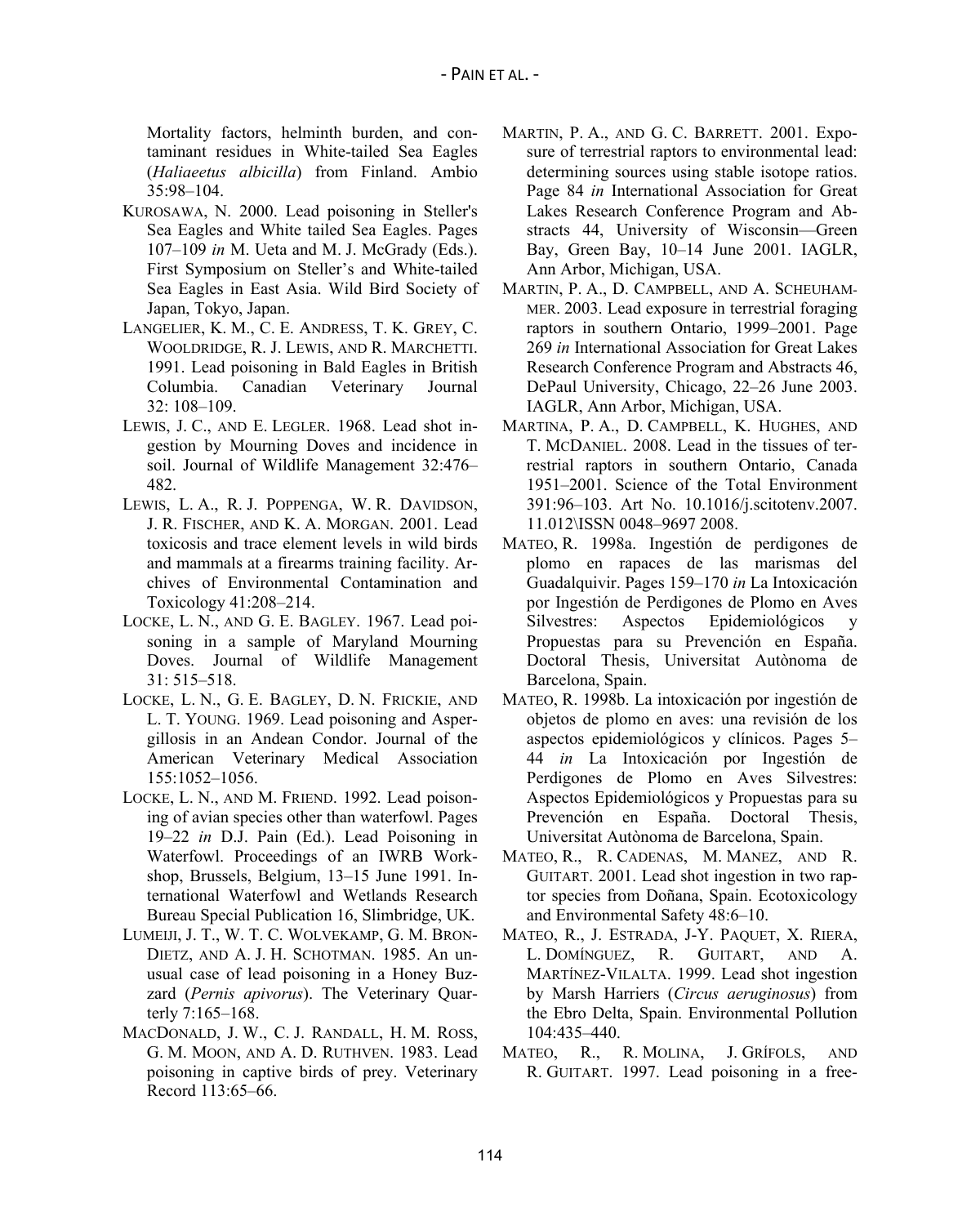Mortality factors, helminth burden, and con[taminant residues in White-tailed Sea Eagles](http://dx.doi.org/10.1579/0044-7447(2006)35[98:MFHBAC]2.0.CO;2)  (*Haliaeetus albicilla*) from Finland. Ambio 35:98–104.

- KUROSAWA, N. 2000. Lead poisoning in Steller's Sea Eagles and White tailed Sea Eagles. Pages 107–109 *in* M. Ueta and M. J. McGrady (Eds.). First Symposium on Steller's and White-tailed Sea Eagles in East Asia. Wild Bird Society of Japan, Tokyo, Japan.
- LANGELIER, K. M., C. E. ANDRESS, T. K. GREY, C. WOOLDRIDGE, R. J. LEWIS, AND R. MARCHETTI. 1991. Lead poisoning in Bald Eagles in British Columbia. Canadian Veterinary Journal 32: 108–109.
- LEWIS, J. C., AND E. LEGLER. 1968. Lead shot ingestion by Mourning Doves and incidence in [soil. Journal of Wildlife Management 32:476–](http://dx.doi.org/10.2307/3798925) 482.
- LEWIS, L. A., R. J. POPPENGA, W. R. DAVIDSON, J. R. FISCHER, AND K. A. MORGAN. 2001. Lead [toxicosis and trace element levels in wild birds](http://dx.doi.org/10.1007/s002440010239)  and mammals at a firearms training facility. Archives of Environmental Contamination and Toxicology 41:208–214.
- LOCKE, L. N., AND G. E. BAGLEY. 1967. Lead poi[soning in a sample of Maryland Mourning](http://dx.doi.org/10.2307/3798133)  Doves. Journal of Wildlife Management 31: 515–518.
- LOCKE, L. N., G. E. BAGLEY, D. N. FRICKIE, AND L. T. YOUNG. 1969. Lead poisoning and Aspergillosis in an Andean Condor. Journal of the American Veterinary Medical Association 155:1052–1056.
- LOCKE, L. N., AND M. FRIEND. 1992. Lead poisoning of avian species other than waterfowl. Pages 19–22 *in* D.J. Pain (Ed.). Lead Poisoning in Waterfowl. Proceedings of an IWRB Workshop, Brussels, Belgium, 13–15 June 1991. International Waterfowl and Wetlands Research Bureau Special Publication 16, Slimbridge, UK.
- LUMEIJI, J. T., W. T. C. WOLVEKAMP, G. M. BRON-DIETZ, AND A. J. H. SCHOTMAN. 1985. An unusual case of lead poisoning in a Honey Buzzard (*Pernis apivorus*). The Veterinary Quarterly 7:165–168.
- MACDONALD, J. W., C. J. RANDALL, H. M. ROSS, G. M. MOON, AND A. D. RUTHVEN. 1983. Lead poisoning in captive birds of prey. Veterinary Record 113:65–66.
- MARTIN, P. A., AND G. C. BARRETT. 2001. Exposure of terrestrial raptors to environmental lead: determining sources using stable isotope ratios. Page 84 *in* International Association for Great Lakes Research Conference Program and Abstracts 44, University of Wisconsin—Green Bay, Green Bay, 10–14 June 2001. IAGLR, Ann Arbor, Michigan, USA.
- MARTIN, P. A., D. CAMPBELL, AND A. SCHEUHAM-MER. 2003. Lead exposure in terrestrial foraging raptors in southern Ontario, 1999–2001. Page 269 *in* International Association for Great Lakes Research Conference Program and Abstracts 46, DePaul University, Chicago, 22–26 June 2003. IAGLR, Ann Arbor, Michigan, USA.
- MARTINA, P. A., D. CAMPBELL, K. HUGHES, AND T. MCDANIEL. 2008. Lead in the tissues of ter[restrial raptors in southern Ontario, Canada](http://dx.doi.org/10.1016/j.scitotenv.2007.11.012) 1951–2001. Science of the Total Environment 391:96–103. Art No. 10.1016/j.scitotenv.2007. 11.012\ISSN 0048–9697 2008.
- MATEO, R. 1998a. Ingestión de perdigones de plomo en rapaces de las marismas del Guadalquivir. Pages 159–170 *in* La Intoxicación por Ingestión de Perdigones de Plomo en Aves Silvestres: Aspectos Epidemiológicos Propuestas para su Prevención en España. Doctoral Thesis, Universitat Autònoma de Barcelona, Spain.
- MATEO, R. 1998b. La intoxicación por ingestión de objetos de plomo en aves: una revisión de los aspectos epidemiológicos y clínicos. Pages 5– 44 *in* La Intoxicación por Ingestión de Perdigones de Plomo en Aves Silvestres: Aspectos Epidemiológicos y Propuestas para su Prevención en España. Doctoral Thesis, Universitat Autònoma de Barcelona, Spain.
- MATEO, R., R. CADENAS, M. MANEZ, AND R. GUITART. 2001. Lead shot ingestion in two rap[tor species from Doñana, Spain. Ecotoxicology](http://dx.doi.org/10.1006/eesa.2000.1996) and Environmental Safety 48:6–10.
- MATEO, R., J. ESTRADA, J-Y. PAQUET, X. RIERA, L. DOMÍNGUEZ, R. GUITART, AND A. MARTÍNEZ-VILALTA. 1999. Lead shot ingestion by Marsh Harriers (*Circus aeruginosus*) from [the Ebro Delta, Spain. Environmental Pollution](http://dx.doi.org/10.1016/S0269-7491(98)00169-9) 104:435–440.
- MATEO, R., R. MOLINA, J. GRÍFOLS, AND R. GUITART. 1997. Lead poisoning in a free-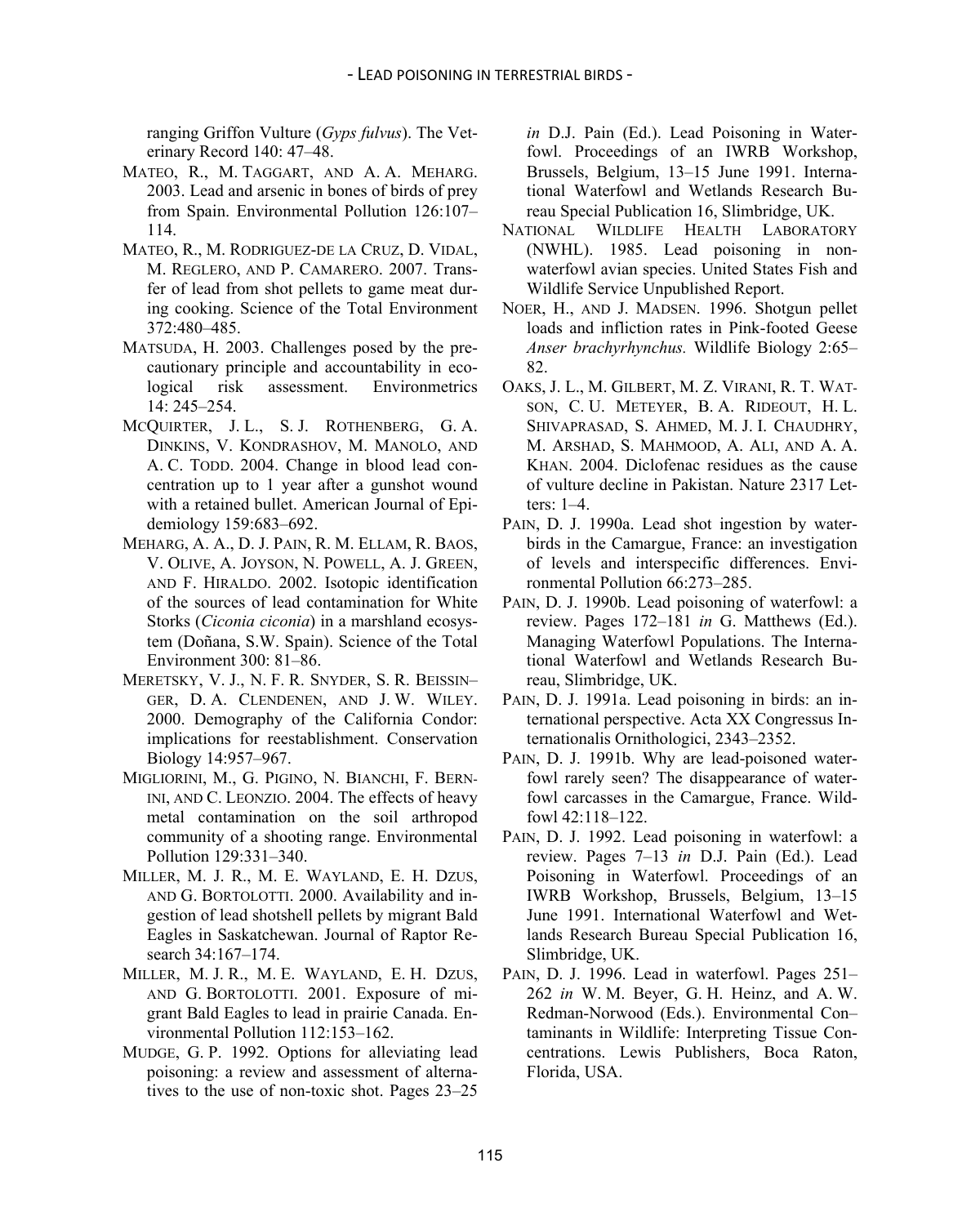ranging Griffon Vulture (*Gyps fulvus*). The Veterinary Record 140: 47–48.

- MATEO, R., M. TAGGART, AND A. A. MEHARG. 2003. Lead and arsenic in bones of birds of prey [from Spain. Environmental Pollution 126:107–](http://dx.doi.org/10.1016/S0269-7491(03)00055-1) 114.
- MATEO, R., M. RODRIGUEZ-DE LA CRUZ, D. VIDAL, M. REGLERO, AND P. CAMARERO. 2007. Transfer of lead from shot pellets to game meat dur[ing cooking. Science of the Total Environment](http://dx.doi.org/10.1016/j.scitotenv.2006.10.022)  372:480–485.
- MATSUDA, H. 2003. Challenges posed by the precautionary principle and accountability in eco[logical risk assessment. Environmetrics](http://dx.doi.org/10.1002/env.581)  14: 245–254.
- MCQUIRTER, J. L., S. J. ROTHENBERG, G. A. DINKINS, V. KONDRASHOV, M. MANOLO, AND A. C. TODD. 2004. Change in blood lead con[centration up to 1 year after a gunshot wound](http://dx.doi.org/10.1093/aje/kwh074)  with a retained bullet. American Journal of Epidemiology 159:683–692.
- MEHARG, A. A., D. J. PAIN, R. M. ELLAM, R. BAOS, V. OLIVE, A. JOYSON, N. POWELL, A. J. GREEN, AND F. HIRALDO. 2002. Isotopic identification [of the sources of lead contamination for White](http://dx.doi.org/10.1016/S0048-9697(02)00283-8)  Storks (*Ciconia ciconia*) in a marshland ecosystem (Doñana, S.W. Spain). Science of the Total Environment 300: 81–86.
- MERETSKY, V. J., N. F. R. SNYDER, S. R. BEISSIN– GER, D. A. CLENDENEN, AND J. W. WILEY. [2000. Demography of the California Condor:](http://dx.doi.org/10.1046/j.1523-1739.2000.99113.x)  implications for reestablishment. Conservation Biology 14:957–967.
- MIGLIORINI, M., G. PIGINO, N. BIANCHI, F. BERN-INI, AND C. LEONZIO. 2004. The effects of heavy [metal contamination on the soil arthropod](http://dx.doi.org/10.1016/j.envpol.2003.09.025)  community of a shooting range. Environmental Pollution 129:331–340.
- MILLER, M. J. R., M. E. WAYLAND, E. H. DZUS, AND G. BORTOLOTTI. 2000. Availability and ingestion of lead shotshell pellets by migrant Bald Eagles in Saskatchewan. Journal of Raptor Research 34:167–174.
- MILLER, M. J. R., M. E. WAYLAND, E. H. DZUS, AND G. BORTOLOTTI. 2001. Exposure of mi[grant Bald Eagles to lead in prairie Canada. En](http://dx.doi.org/10.1016/S0269-7491(00)00122-6)vironmental Pollution 112:153–162.
- MUDGE, G. P. 1992. Options for alleviating lead poisoning: a review and assessment of alternatives to the use of non-toxic shot. Pages 23–25

*in* D.J. Pain (Ed.). Lead Poisoning in Waterfowl. Proceedings of an IWRB Workshop, Brussels, Belgium, 13–15 June 1991. International Waterfowl and Wetlands Research Bureau Special Publication 16, Slimbridge, UK.

- NATIONAL WILDLIFE HEALTH LABORATORY (NWHL). 1985. Lead poisoning in nonwaterfowl avian species. United States Fish and Wildlife Service Unpublished Report.
- NOER, H., AND J. MADSEN. 1996. Shotgun pellet loads and infliction rates in Pink-footed Geese *Anser brachyrhynchus.* Wildlife Biology 2:65– 82.
- OAKS, J. L., M. GILBERT, M. Z. VIRANI, R. T. WAT-SON, C. U. METEYER, B. A. RIDEOUT, H. L. SHIVAPRASAD, S. AHMED, M. J. I. CHAUDHRY, M. ARSHAD, S. MAHMOOD, A. ALI, AND A. A. KHAN. 2004. Diclofenac residues as the cause of vulture decline in Pakistan. Nature 2317 Letters: 1–4.
- PAIN, D. J. 1990a. Lead shot ingestion by water[birds in the Camargue, France: an investigation](http://dx.doi.org/10.1016/0269-7491(90)90007-Y) of levels and interspecific differences. Environmental Pollution 66:273–285.
- PAIN, D. J. 1990b. Lead poisoning of waterfowl: a review. Pages 172–181 *in* G. Matthews (Ed.). Managing Waterfowl Populations. The International Waterfowl and Wetlands Research Bureau, Slimbridge, UK.
- PAIN, D. J. 1991a. Lead poisoning in birds: an international perspective. Acta XX Congressus Internationalis Ornithologici, 2343–2352.
- PAIN, D. J. 1991b. Why are lead-poisoned waterfowl rarely seen? The disappearance of waterfowl carcasses in the Camargue, France. Wildfowl 42:118–122.
- PAIN, D. J. 1992. Lead poisoning in waterfowl: a review. Pages 7–13 *in* D.J. Pain (Ed.). Lead Poisoning in Waterfowl. Proceedings of an IWRB Workshop, Brussels, Belgium, 13–15 June 1991. International Waterfowl and Wetlands Research Bureau Special Publication 16, Slimbridge, UK.
- PAIN, D. J. 1996. Lead in waterfowl. Pages 251– 262 *in* W. M. Beyer, G. H. Heinz, and A. W. Redman-Norwood (Eds.). Environmental Con– taminants in Wildlife: Interpreting Tissue Concentrations. Lewis Publishers, Boca Raton, Florida, USA.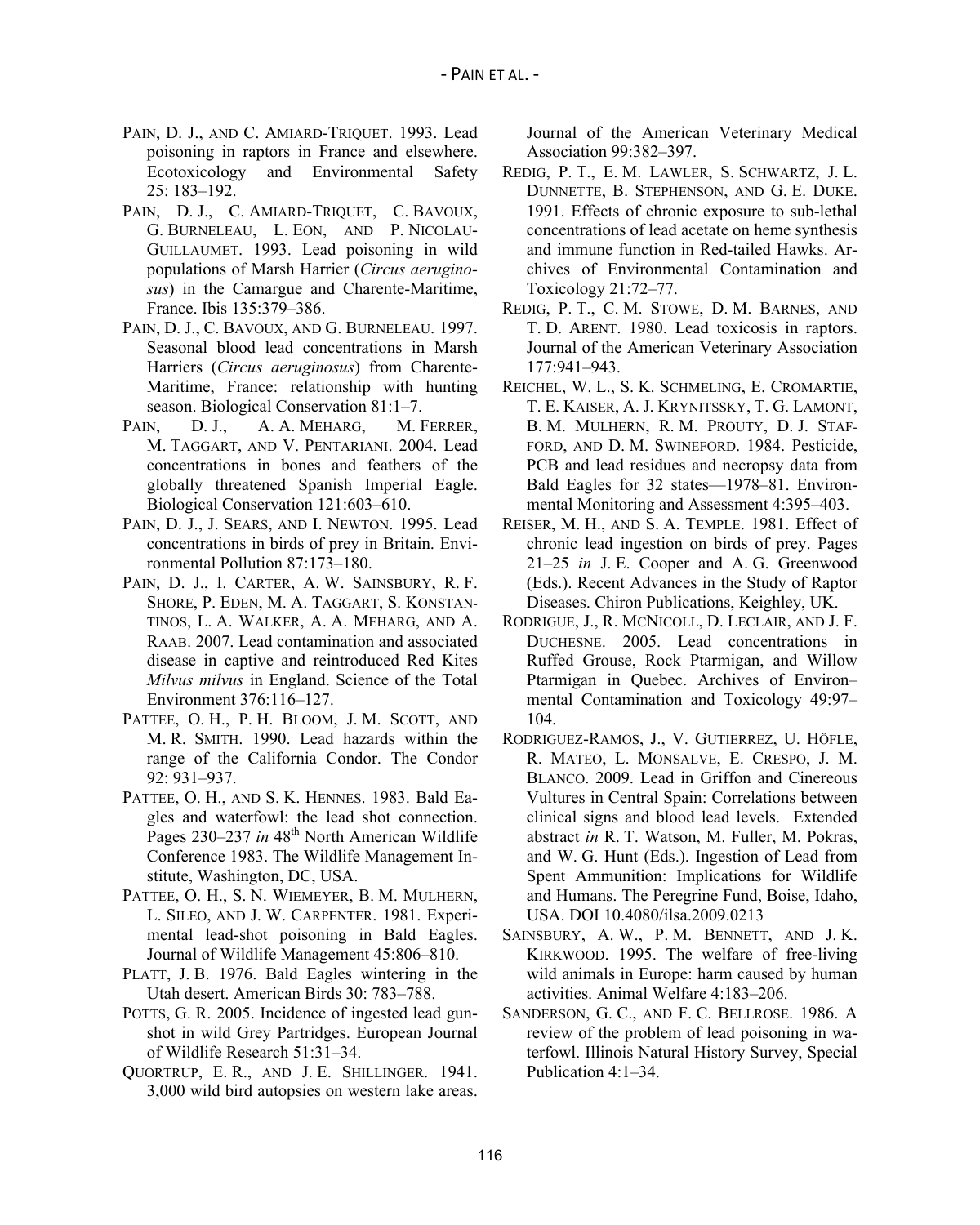- PAIN, D. J., AND C. AMIARD-TRIQUET. 1993. Lead [poisoning in raptors in France and elsewhere.](http://dx.doi.org/10.1006/eesa.1993.1017)  Ecotoxicology and Environmental Safety 25: 183–192.
- PAIN, D. J., C. AMIARD-TRIQUET, C. BAVOUX, G. BURNELEAU, L. EON, AND P. NICOLAU-GUILLAUMET. 1993. Lead poisoning in wild populations of Marsh Harrier (*Circus aeruginosus*[\) in the Camargue and Charente-Maritime,](http://dx.doi.org/10.1111/j.1474-919X.1993.tb02109.x)  France. Ibis 135:379–386.
- PAIN, D. J., C. BAVOUX, AND G. BURNELEAU. 1997. [Seasonal blood lead concentrations in Marsh](http://dx.doi.org/10.1016/S0006-3207(96)00132-2)  Harriers (*Circus aeruginosus*) from Charente-Maritime, France: relationship with hunting season. Biological Conservation 81:1–7.
- PAIN, D. J., A. A. MEHARG, M. FERRER, M. TAGGART, AND V. PENTARIANI. 2004. Lead [concentrations in bones and feathers of the](http://dx.doi.org/10.1016/j.biocon.2004.06.012) globally threatened Spanish Imperial Eagle. Biological Conservation 121:603–610.
- PAIN, D. J., J. SEARS, AND I. NEWTON. 1995. Lead [concentrations in birds of prey in Britain. Envi](http://dx.doi.org/10.1016/0269-7491(94)P2604-8)ronmental Pollution 87:173–180.
- PAIN, D. J., I. CARTER, A. W. SAINSBURY, R. F. SHORE, P. EDEN, M. A. TAGGART, S. KONSTAN-TINOS, L. A. WALKER, A. A. MEHARG, AND A. RAAB. 2007. Lead contamination and associated [disease in captive and reintroduced Red Kites](http://dx.doi.org/10.1016/j.scitotenv.2007.01.062)  *Milvus milvus* in England. Science of the Total Environment 376:116–127.
- PATTEE, O. H., P. H. BLOOM, J. M. SCOTT, AND M. R. SMITH. 1990. Lead hazards within the [range of the California Condor. The Condor](http://dx.doi.org/10.2307/1368729)  92: 931–937.
- PATTEE, O. H., AND S. K. HENNES. 1983. Bald Eagles and waterfowl: the lead shot connection. Pages 230–237 in 48<sup>th</sup> North American Wildlife Conference 1983. The Wildlife Management Institute, Washington, DC, USA.
- PATTEE, O. H., S. N. WIEMEYER, B. M. MULHERN, L. SILEO, AND J. W. CARPENTER. 1981. Experi[mental lead-shot poisoning in Bald Eagles.](http://dx.doi.org/10.2307/3808728)  Journal of Wildlife Management 45:806–810.
- PLATT, J. B. 1976. Bald Eagles wintering in the Utah desert. American Birds 30: 783–788.
- POTTS, G. R. 2005. Incidence of ingested lead gun[shot in wild Grey Partridges. European Journal](http://dx.doi.org/10.1007/s10344-004-0071-y)  of Wildlife Research 51:31–34.
- QUORTRUP, E. R., AND J. E. SHILLINGER. 1941. 3,000 wild bird autopsies on western lake areas.

Journal of the American Veterinary Medical Association 99:382–397.

- REDIG, P. T., E. M. LAWLER, S. SCHWARTZ, J. L. DUNNETTE, B. STEPHENSON, AND G. E. DUKE. [1991. Effects of chronic exposure to sub-lethal](http://dx.doi.org/10.1007/BF01055559) concentrations of lead acetate on heme synthesis and immune function in Red-tailed Hawks. Archives of Environmental Contamination and Toxicology 21:72–77.
- REDIG, P. T., C. M. STOWE, D. M. BARNES, AND T. D. ARENT. 1980. Lead toxicosis in raptors. Journal of the American Veterinary Association 177:941–943.
- REICHEL, W. L., S. K. SCHMELING, E. CROMARTIE, T. E. KAISER, A. J. KRYNITSSKY, T. G. LAMONT, B. M. MULHERN, R. M. PROUTY, D. J. STAF-FORD, AND D. M. SWINEFORD. 1984. Pesticide, [PCB and lead residues and necropsy data from](http://dx.doi.org/10.1007/BF00394177)  Bald Eagles for 32 states—1978–81. Environmental Monitoring and Assessment 4:395–403.
- REISER, M. H., AND S. A. TEMPLE. 1981. Effect of chronic lead ingestion on birds of prey. Pages 21–25 *in* J. E. Cooper and A. G. Greenwood (Eds.). Recent Advances in the Study of Raptor Diseases. Chiron Publications, Keighley, UK.
- RODRIGUE, J., R. MCNICOLL, D. LECLAIR, AND J. F. DUCHESNE. 2005. Lead concentrations in [Ruffed Grouse, Rock Ptarmigan, and Willow](http://dx.doi.org/10.1007/s00244-003-0265-4) Ptarmigan in Quebec. Archives of Environ– mental Contamination and Toxicology 49:97– 104.
- RODRIGUEZ-RAMOS, J., V. GUTIERREZ, U. HÖFLE, R. MATEO, L. MONSALVE, E. CRESPO, J. M. BLANCO. 2009. Lead in Griffon and Cinereous Vultures in Central Spain: Correlations between clinical signs and blood lead levels. Extended abstract *in* R. T. Watson, M. Fuller, M. Pokras, and W. G. Hunt (Eds.). Ingestion of Lead from Spent Ammunition: Implications for Wildlife and Humans. The Peregrine Fund, Boise, Idaho, USA. DOI 10.4080/ilsa.2009.0213
- SAINSBURY, A. W., P. M. BENNETT, AND J. K. KIRKWOOD. 1995. The welfare of free-living wild animals in Europe: harm caused by human activities. Animal Welfare 4:183–206.
- SANDERSON, G. C., AND F. C. BELLROSE. 1986. A review of the problem of lead poisoning in waterfowl. Illinois Natural History Survey, Special Publication 4:1–34.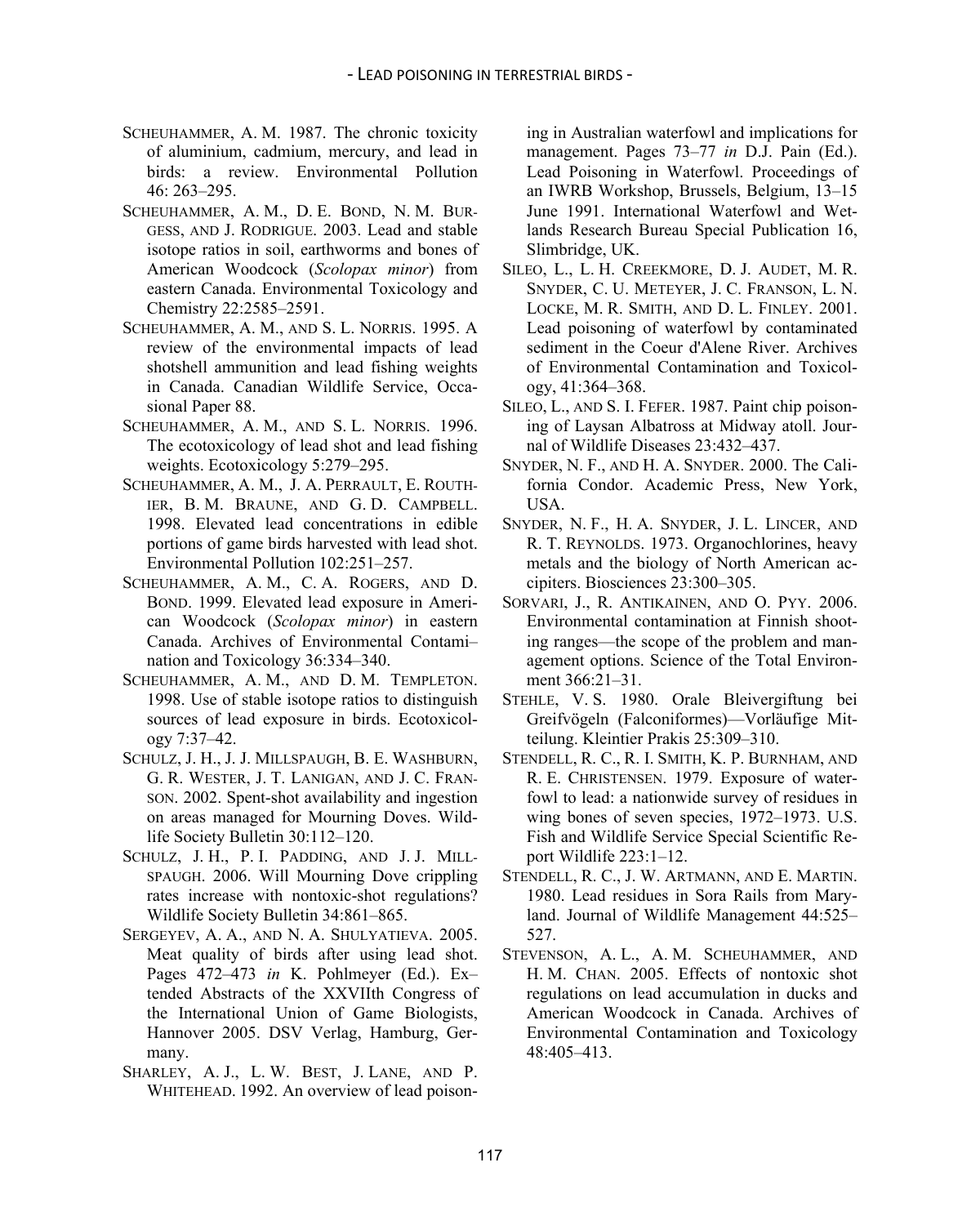- SCHEUHAMMER, A. M. 1987. The chronic toxicity [of aluminium, cadmium, mercury, and lead in](http://dx.doi.org/10.1016/0269-7491(87)90173-4)  birds: a review. Environmental Pollution 46: 263–295.
- SCHEUHAMMER, A. M., D. E. BOND, N. M. BUR-GESS, AND J. RODRIGUE. 2003. Lead and stable [isotope ratios in soil, earthworms and bones of](http://dx.doi.org/10.1897/02-361)  American Woodcock (*Scolopax minor*) from eastern Canada. Environmental Toxicology and Chemistry 22:2585–2591.
- SCHEUHAMMER, A. M., AND S. L. NORRIS. 1995. A review of the environmental impacts of lead shotshell ammunition and lead fishing weights in Canada. Canadian Wildlife Service, Occasional Paper 88.
- SCHEUHAMMER, A. M., AND S. L. NORRIS. 1996. [The ecotoxicology of lead shot and lead fishing](http://dx.doi.org/10.1007/BF00119051)  weights. Ecotoxicology 5:279–295.
- SCHEUHAMMER, A. M., J. A. PERRAULT, E. ROUTH-IER, B. M. BRAUNE, AND G. D. CAMPBELL. [1998. Elevated lead concentrations in edible](http://dx.doi.org/10.1016/S0269-7491(98)00083-9)  portions of game birds harvested with lead shot. Environmental Pollution 102:251–257.
- SCHEUHAMMER, A. M., C. A. ROGERS, AND D. BOND. 1999. Elevated lead exposure in American Woodcock (*Scolopax minor*) in eastern [Canada. Archives of Environmental Contami–](http://dx.doi.org/10.1007/s002449900479) nation and Toxicology 36:334–340.
- SCHEUHAMMER, A. M., AND D. M. TEMPLETON. [1998. Use of stable isotope ratios to distinguish](http://dx.doi.org/10.1023/A:1008855617453)  sources of lead exposure in birds. Ecotoxicology 7:37–42.
- SCHULZ, J. H., J. J. MILLSPAUGH, B. E. WASHBURN, G. R. WESTER, J. T. LANIGAN, AND J. C. FRAN-SON. 2002. Spent-shot availability and ingestion on areas managed for Mourning Doves. Wildlife Society Bulletin 30:112–120.
- SCHULZ, J. H., P. I. PADDING, AND J. J. MILL-SPAUGH. 2006. Will Mourning Dove crippling [rates increase with nontoxic-shot regulations?](http://dx.doi.org/10.2193/0091-7648(2006)34[861:WMDCRI]2.0.CO;2) Wildlife Society Bulletin 34:861–865.
- SERGEYEV, A. A., AND N. A. SHULYATIEVA. 2005. Meat quality of birds after using lead shot. Pages 472–473 *in* K. Pohlmeyer (Ed.). Ex– tended Abstracts of the XXVIIth Congress of the International Union of Game Biologists, Hannover 2005. DSV Verlag, Hamburg, Germany.
- SHARLEY, A. J., L. W. BEST, J. LANE, AND P. WHITEHEAD. 1992. An overview of lead poison-

ing in Australian waterfowl and implications for management. Pages 73–77 *in* D.J. Pain (Ed.). Lead Poisoning in Waterfowl. Proceedings of an IWRB Workshop, Brussels, Belgium, 13–15 June 1991. International Waterfowl and Wetlands Research Bureau Special Publication 16, Slimbridge, UK.

- SILEO, L., L. H. CREEKMORE, D. J. AUDET, M. R. SNYDER, C. U. METEYER, J. C. FRANSON, L. N. LOCKE, M. R. SMITH, AND D. L. FINLEY. 2001. [Lead poisoning of waterfowl by contaminated](http://dx.doi.org/10.1007/s002440010260) sediment in the Coeur d'Alene River. Archives of Environmental Contamination and Toxicology, 41:364–368.
- SILEO, L., AND S. I. FEFER. 1987. Paint chip poisoning of Laysan Albatross at Midway atoll. Journal of Wildlife Diseases 23:432–437.
- SNYDER, N. F., AND H. A. SNYDER. 2000. The California Condor. Academic Press, New York, USA.
- SNYDER, N. F., H. A. SNYDER, J. L. LINCER, AND R. T. REYNOLDS. 1973. Organochlorines, heavy [metals and the biology of North American ac](http://dx.doi.org/10.2307/1296439)cipiters. Biosciences 23:300–305.
- SORVARI, J., R. ANTIKAINEN, AND O. PYY. 2006. [Environmental contamination at Finnish shoot](http://dx.doi.org/10.1016/j.scitotenv.2005.12.019)ing ranges—the scope of the problem and management options. Science of the Total Environment 366:21–31.
- STEHLE, V. S. 1980. Orale Bleivergiftung bei Greifvögeln (Falconiformes)—Vorläufige Mitteilung. Kleintier Prakis 25:309–310.
- STENDELL, R. C., R. I. SMITH, K. P. BURNHAM, AND R. E. CHRISTENSEN. 1979. Exposure of waterfowl to lead: a nationwide survey of residues in wing bones of seven species, 1972–1973. U.S. Fish and Wildlife Service Special Scientific Report Wildlife 223:1–12.
- STENDELL, R. C., J. W. ARTMANN, AND E. MARTIN. 1980. Lead residues in Sora Rails from Mary[land. Journal of Wildlife Management 44:525–](http://dx.doi.org/10.2307/3807994) 527.
- STEVENSON, A. L., A. M. SCHEUHAMMER, AND H. M. CHAN. 2005. Effects of nontoxic shot [regulations on lead accumulation in ducks and](http://dx.doi.org/10.1007/s00244-004-0044-x) American Woodcock in Canada. Archives of Environmental Contamination and Toxicology 48:405–413.